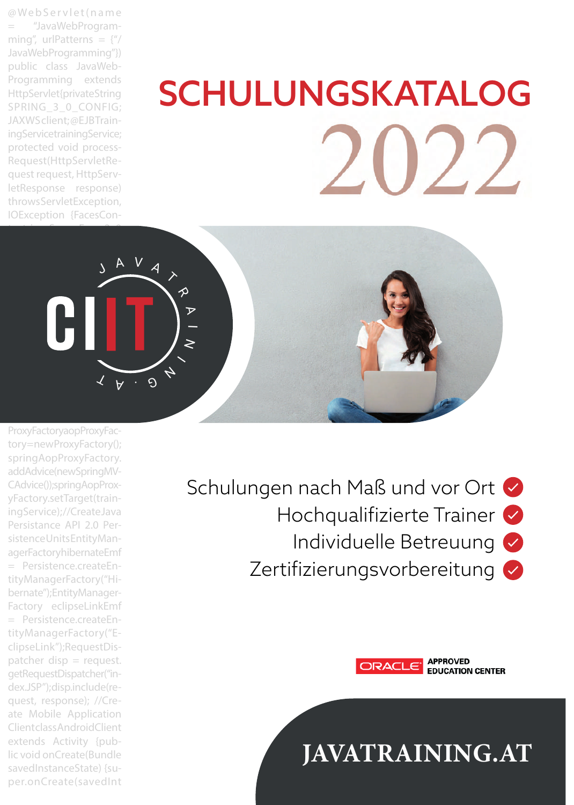@ We b S e r v l e t ( n a m e = "JavaWebProgramming", urlPatterns =  $\{$ ''/ JavaWebProgramming"}) public class JavaWeb-Programming extends HttpServlet {private String SPRING 3 0 CONFIG: JAXWS client; @EJB TrainingServicetrainingService; protected void process-Request(HttpServletRequest request, HttpServletResponse response) throws ServletException, IOException {FacesCon-

# SCHULUNGSKATALOG



ProxyFactory aopProxyFactory=newProxyFactory(); springAopProxyFactory. addAdvice(new SpringMV-CAdvice()); springAopProxyFactory.setTarget(trainingService); //Create Java Persistance API 2.0 Persistence Units EntityManagerFactory hibernateEmf = Persistence.createEntityManagerFactory("Hibernate"); EntityManager-Factory eclipseLinkEmf = Persistence.createEntityManagerFactory("EclipseLink");RequestDis $pattern$  disp = request. getRequestDispatcher("index.JSP"); disp.include(request, response); //Create Mobile Application Client class AndroidClient extends Activity {public void onCreate(Bundle savedInstanceState) {super.onCreate(savedInt

Schulungen nach Maß und vor Ort Hochqualifizierte Trainer Individuelle Betreuung Zertifizierungsvorbereitung



**APPROVED EDUCATION CENTER** 

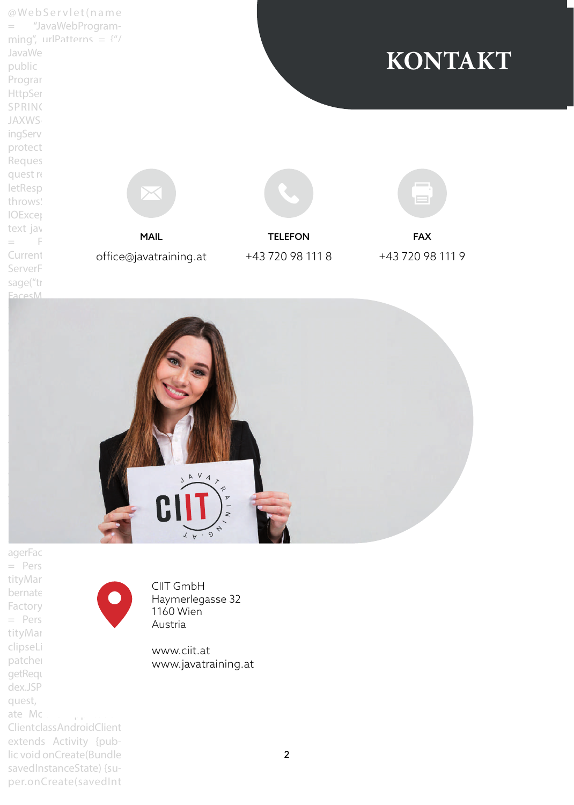@ We b S e r v l e t ( n a m e = "JavaWebProgramming", urlPatterns =  $\frac{4}{7}$ JavaWe public Program HttpSer SPRING **JAXWS** ingServ protect Reques quest re letResp throws: **IOExcep** text jav  $=$  F Current ServerF sage("tr **EacesM** office@javatraining.at MAIL **TELEFON FAX** +43 720 98 111 8 +43 720 98 111 9 **KONTAKT**



agerFac  $=$  Pers tityMar bernate Factory  $=$  Pers tityMar clipseLi patcher getReque dex.JSP quest, ate Mc. Client class AndroidClient extends Activity {pub-

lic void onCreate(Bundle savedInstanceState) {super.onCreate(savedInt

CIIT GmbH Haymerlegasse 32 1160 Wien Austria

www.ciit.at www.javatraining.at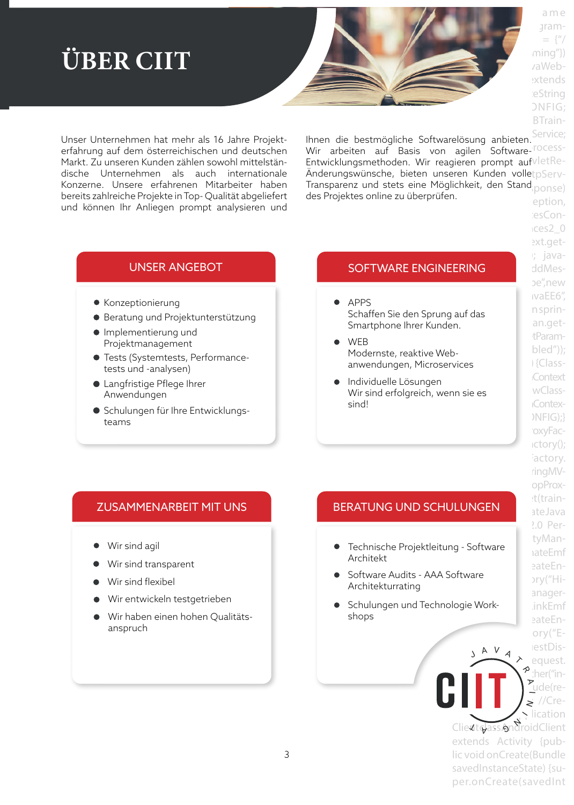# **ÜBER CIIT**

Unser Unternehmen hat mehr als 16 Jahre Projekterfahrung auf dem österreichischen und deutschen Markt. Zu unseren Kunden zählen sowohl mittelständische Unternehmen als auch internationale Konzerne. Unsere erfahrenen Mitarbeiter haben bereits zahlreiche Projekte in Top- Qualität abgeliefert und können Ihr Anliegen prompt analysieren und

Ihnen die bestmögliche Softwarelösung anbieten. Service; miten die bestindgiene bortwareibsang anbieten.<br>Wir arbeiten auf Basis von agilen Software-<sup>rocess-</sup> Entwicklungsmethoden. Wir reagieren prompt aufvletRe-Anderungswünsche, bieten unseren Kunden volle $\mathfrak{t}_\text{pServ-}$ Transparenz und stets eine Möglichkeit, den Stand<sub>iponse)</sub> des Projektes online zu überprüfen.

- Konzeptionierung
- Beratung und Projektunterstützung
- Implementierung und Projektmanagement
- Tests (Systemtests, Performancetests und -analysen)
- Langfristige Pflege Ihrer Anwendungen
- Schulungen für Ihre Entwicklungsteams

## UNSER ANGEBOT EN ENGINEERING ENGINEERING ANGEL

- APPS Schaffen Sie den Sprung auf das Smartphone Ihrer Kunden.
- **WER** Modernste, reaktive Webanwendungen, Microservices
- Wir sind erfolgreich, wenn sie es **WIE** WClass-Individuelle Lösungen sind!

- Wir sind agil
- Wir sind transparent
- Wir sind flexibel
- Wir entwickeln testgetrieben
- Wir haben einen hohen Qualitätsanspruch

## ZUSAMMENARBEIT MIT UNS BERATUNG UND SCHULUNGEN

- Technische Projektleitung Software Architekt
- **Software Audits AAA Software** Architekturrating
- Schulungen und Technologie Work- In kEmf shops

eption, iesCon $res2<sub>0</sub>$ ext.get $i$ ; javabe".new ivaEE6". n sprinan.gettParam $bled")$ ; i {Class-**Context Contex-** $NFIG:$ oxyFac $ictory()$ ; actory. ringMVopProxt(trainateJava  $2.0$  PertyManaateEmf eateEn- $\text{ary}$ ("HianagereateEnory("EestDisequest. ther("in- $\frac{1}{\sqrt{2}}$  )  $\frac{1}{\sqrt{2}}$  and  $\frac{1}{\sqrt{2}}$  and  $\frac{1}{\sqrt{2}}$  and  $\frac{1}{\sqrt{2}}$  and  $\frac{1}{\sqrt{2}}$  and  $\frac{1}{\sqrt{2}}$  and  $\frac{1}{\sqrt{2}}$  and  $\frac{1}{\sqrt{2}}$  and  $\frac{1}{\sqrt{2}}$  and  $\frac{1}{\sqrt{2}}$  and  $\frac{1}{\sqrt{2}}$  and  $\frac{1}{\sqrt{2}}$  and  $\$  $\blacksquare$   $\blacksquare$   $\blacksquare$   $\blacktriangleright$   $\gtrsim$  //Cre- $\frac{1}{\sqrt{2}}$  Mobile Application Client Gass AndroidClient extends Activity {public void onCreate(Bundle savedInstanceState) {su- $\rightsquigarrow$  $\overline{\phantom{a}}$  $\angle$ lication

per.onCreate(savedInt

J

 $\frac{\Delta V A}{\Delta}$ 

a m e aram- $=$   $\{$ ''/  $minq''$ } vaWebextends ieString  $ONFIG:$ BTrain-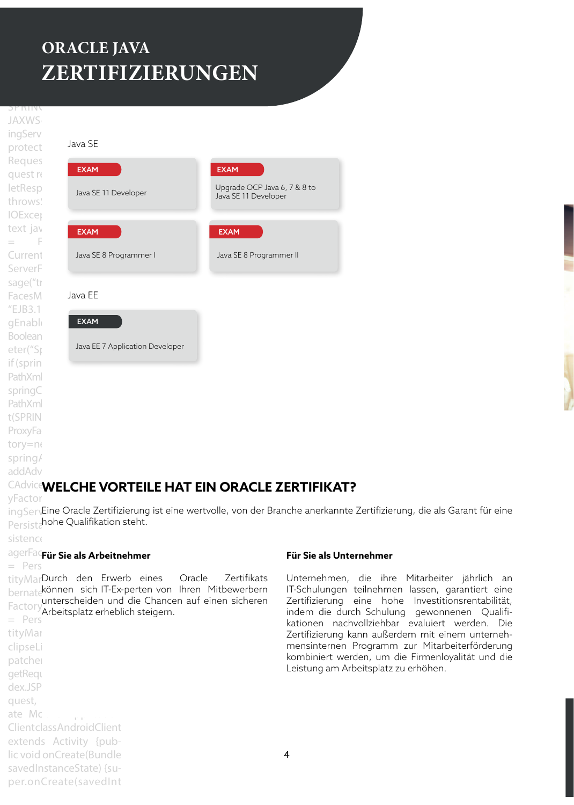## $\overline{M}$ **ORACLE JAVA** public class Java Web- $ZERTIFIZIERUNGEN$

**JAXWS** ingServ protect Reques quest re letResp throws: **IOExcet** text jay ServerF sage("tr FacesM  $EIB3.1$ gEnable Boolean eter("Sp if (sprin PathXml springC PathXml t(SPRING\_3\_1\_CONFIG);} ProxyFa tory=ne spring/ addAdv

 $\mathcal{L} = \mathcal{L} \times \mathcal{L}$  . We be seen that  $\mathcal{L} = \mathcal{L} \times \mathcal{L}$ 

 $\overline{\phantom{a}}$  )  $\overline{\phantom{a}}$  )  $\overline{\phantom{a}}$  )  $\overline{\phantom{a}}$  )  $\overline{\phantom{a}}$  )  $\overline{\phantom{a}}$ 



## CAdviceWELCHE VORTEILE HAT EIN ORACLE ZERTIFIKAT?

yFactor

 $\log$ Ser $\varsigma$ Eine Oracle Zertifizierung ist eine wertvolle, von der Branche anerkannte Zertifizierung, die als Garant für eine Persistahohe Qualifikation steht.

sistence

## agerFac**Für Sie als Arbeitnehmer**

 $=$  Pers

tityMar clipseL patcher getReque

tityMarDurch den Erwerb eines Oracle Zertifikats bernate<sup>können</sup> sich IT-Ex-perten von Ihren Mitbewerbern Factory *Arboitenbiz erhebli*  $=$  Pers unterscheiden und die Chancen auf einen sicheren Arbeitsplatz erheblich steigern.

## **Für Sie als Unternehmer**

Unternehmen, die ihre Mitarbeiter jährlich an IT-Schulungen teilnehmen lassen, garantiert eine Zertifizierung eine hohe Investitionsrentabilität, indem die durch Schulung gewonnenen Qualifikationen nachvollziehbar evaluiert werden. Die Zertifizierung kann außerdem mit einem unternehmensinternen Programm zur Mitarbeiterförderung kombiniert werden, um die Firmenloyalität und die Leistung am Arbeitsplatz zu erhöhen.

dex.JSP quest, ate Mc.......... Client class AndroidClient extends Activity {public void onCreate(Bundle savedInstanceState) {super.onCreate(savedInt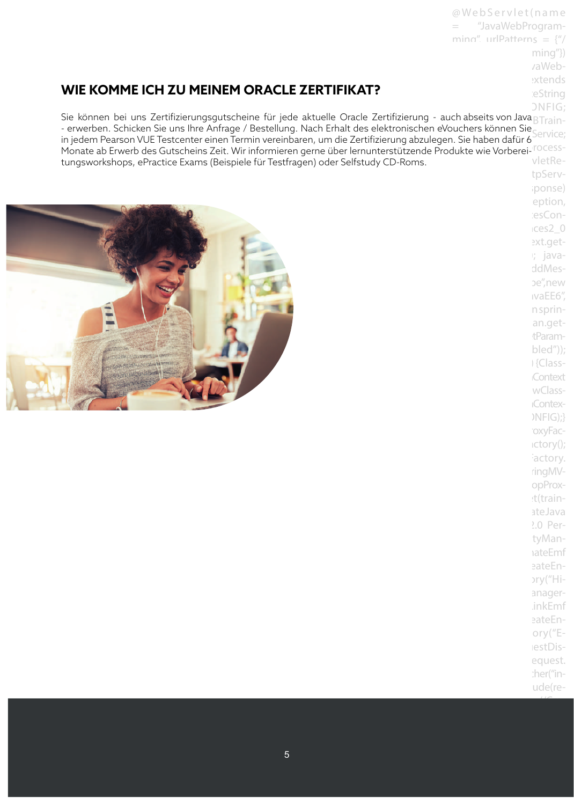## **WIE KOMME ICH ZU MEINEM ORACLE ZERTIFIKAT?**

SPRING DNFIG; Sie können bei uns Zertifizierungsgutscheine für jede aktuelle Oracle Zertifizierung - auch abseits von Java $_{\rm BTrain}$ - erwenden. Schicken sie uns ihre Annage / Besteilung. Nach Enfalt des elektronischen evouchers konnen sie Service;<br>in jedem Pearson VUE Testcenter einen Termin vereinbaren, um die Zertifizierung abzulegen. Sie haben dafür n sie nasen aaraf o<br>dukte wie Vorberei-<sup>irocess-</sup>  $V$ letRe-- erwerben. Schicken Sie uns Ihre Anfrage / Bestellung. Nach Erhalt des elektronischen eVouchers können Sie Monate ab Erwerb des Gutscheins Zeit. Wir informieren gerne über lernunterstützende Produkte wie Vorbereitungsworkshops, ePractice Exams (Beispiele für Testfragen) oder Selfstudy CD-Roms.

![](_page_4_Picture_2.jpeg)

tpServiponse) eption, iesCon $t$ ces2 $0$ ext.get $i$ ; javaddMesbe", new ivaEE6", n sprinan.gettParam $bled")$ ; i {Class-**Context** wClass-**IContex-** $NFG$ ;} 'oxyFac $ictory()$ ; iactory. ringMVopProxet(trainateJava 2.0 PertyManaateEmf eateEn- $\text{ary}$ ("Hianager-.inkEmf eateEnory $("E$ lestDisequest. :her("inude(request, response); //Cre-

@ We b S e r v l e t ( n a m e = "JavaWebProgramming", urlPatterns =  $\frac{y''}{z}$ 

> $min(g'')$ vaWebextends ieString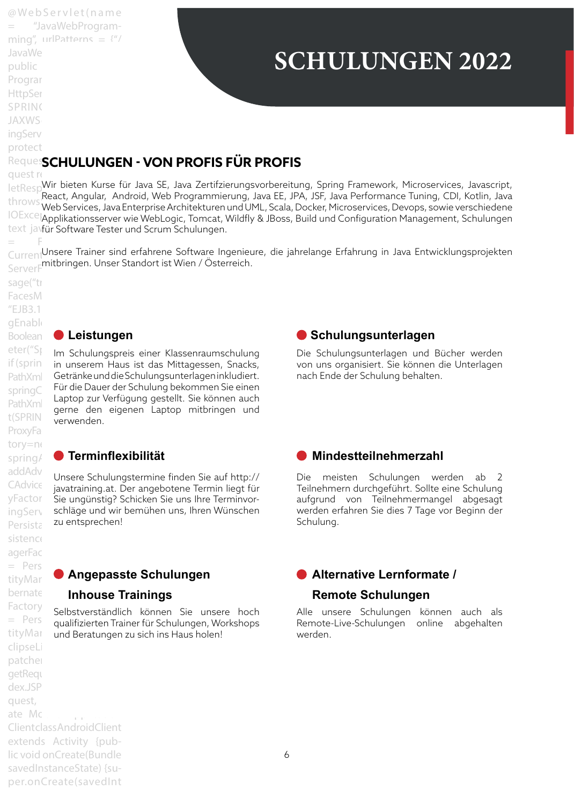# **SCHULUNGEN 2022**

Reques**SCHULUNGEN - VON PROFIS FÜR PROFIS** 

quest request request

JavaWe public Program HttpSer SPRING **JAXWS** ingServ protect

@ We b S e r v l e t ( n a m e "JavaWebProgramming", urlPatterns =  $\frac{4^n}{3}$ 

letResp<sup>Wir</sup> bieten Kurse für Java SE, Java Zertifzierungsvorbereitung, Spring Framework, Microservices, Javascript,<br>Er Java Javascript, Javascript, Javascript, Javascript, Javascript, Javascript, Javascript, Javascript, J throws Seact, Angular, "Android, Web Frogrammerung, Java LL, JFA, JSF, Java Ferformance Tuning, CDI, Kouin, Java<br>Le El Web Services, Java Enterprise Architekturen und UML, Scala, Docker, Microservices, Devops, sowie versch IOExceptives services, savat memper wie mememanen and er lej seala, Boener, Hillesservices, Bevops, some versemedene<br>IOExceptionsserver wie WebLogic, Tomcat, Wildfly & JBoss, Build und Configuration Management, Schulungen text javfür Software Tester und Scrum Schulungen. React, Angular, Android, Web Programmierung, Java EE, JPA, JSF, Java Performance Tuning, CDI, Kotlin, Java

CurrentUnsere Trainer sind erfahrene Software Ingenieure, die jahrelange Erfahrung in Java Entwicklungsprojekten ServerF<sup>mitbringen. Unser Standort ist Wien / Osterreich.</sup>

 $=$  Faces Context.getsage("tr FacesM  $"EJB3.1"$ gEnable ProxyFa tory=ne  $s$ istence agerFac  $=$  Pers clipseL patcher getReque dex.JSP quest, ate Mobile Application Client class AndroidClient extends Activity {public void onCreate(Bundle

savedInstanceState) {super.onCreate(savedInt

## Boolean **D Leistungen**

eter("S) Im Schulungspreis einer Klassenraumschulung if (sprin in unserem Haus ist das Mittagessen, Snacks, PathXml Getränke und die Schulungsunterlagen inkludiert. springContext die Dauer der Schulung bekommen Sie einen PathXmlApplicationContex-gerne den eigenen Laptop mitbringen und t(SPRING) verwenden. Laptop zur Verfügung gestellt. Sie können auch

## springAopProxyFactory. **Terminflexibilität**

addAdv<br>Gesting Unsere Schulungstermine finden Sie auf http:// CAdvice Governe Bonding Bottom in der der interne<br>CAdvice javatraining.at. Der angebotene Termin liegt für yFactor Sie ungünstig? Schicken Sie uns Ihre TerminvoringServ schläge und wir bemühen uns, Ihren Wünschen Persista zu entsprechen!

## tityManagerFactory("Hi-**Angepasste Schulungen**

## bernate **Inhouse Trainings**

Factory Selbstverständlich können Sie unsere hoch = Pers qualifizierten Trainer für Schulungen, Workshops tityMan und Beratungen zu sich ins Haus holen!

## **Schulungsunterlagen**

Die Schulungsunterlagen und Bücher werden von uns organisiert. Sie können die Unterlagen nach Ende der Schulung behalten.

## **Mindestteilnehmerzahl**

Die meisten Schulungen werden ab 2 Teilnehmern durchgeführt. Sollte eine Schulung aufgrund von Teilnehmermangel abgesagt werden erfahren Sie dies 7 Tage vor Beginn der Schulung.

## **Alternative Lernformate / Remote Schulungen**

Alle unsere Schulungen können auch als Remote-Live-Schulungen online abgehalten werden.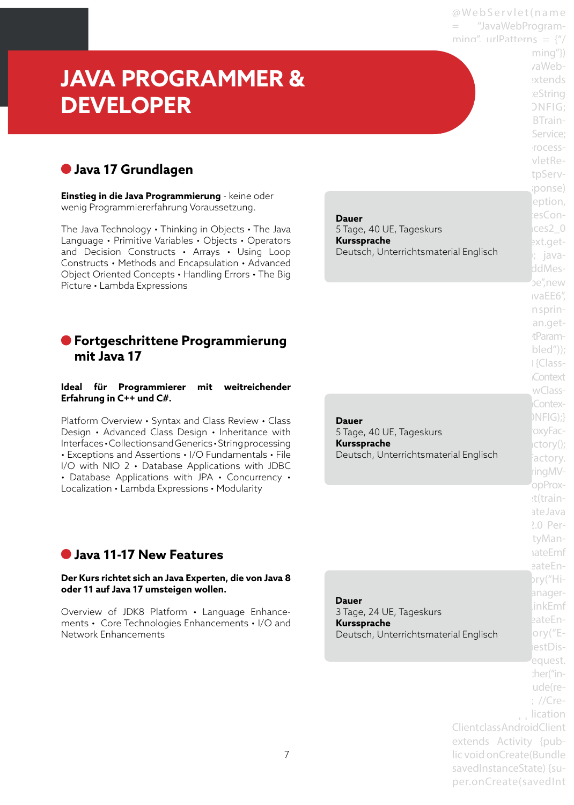@ We b S e r v l e t ( n a m e "JavaWebProgramming", urlPatterns =  $\frac{y''}{z}$ 

> $minq''$ } vaWebextends ieString ONFIG: BTrain-Service: rocessvletRetpServiponse) eption, esCon- $\cos 2\theta$ ext.get-; javaddMesbe".new ivaEE6". n sprinan.gettParambled")); i {Class-Context wClass-Contex- $NFIG);$ boxyFac $actor(y()$ ;

# **JAVA PROGRAMMER & DEVELOPER**

## **Java 17 Grundlagen**

**Einstieg in die Java Programmierung** - keine oder wenig Programmiererfahrung Voraussetzung.

The Java Technology • Thinking in Objects • The Java Language • Primitive Variables • Objects • Operators and Decision Constructs • Arrays • Using Loop Constructs • Methods and Encapsulation • Advanced Object Oriented Concepts • Handling Errors • The Big Picture • Lambda Expressions

## **Fortgeschrittene Programmierung mit Java 17**

#### **Ideal für Programmierer mit weitreichender Erfahrung in C++ und C#.**

Platform Overview • Syntax and Class Review • Class Design • Advanced Class Design • Inheritance with Interfaces • Collections and Generics • String processing • Exceptions and Assertions • I/O Fundamentals • File I/O with NIO 2 • Database Applications with JDBC • Database Applications with JPA • Concurrency • Localization • Lambda Expressions • Modularity

**Dauer** 5 Tage, 40 UE, Tageskurs **Kurssprache**  Deutsch, Unterrichtsmaterial Englisch

Deutsch, Unterrichtsmaterial Englischerteit actory. **Dauer**  5 Tage, 40 UE, Tageskurs **Kurssprache** 

## **Java 11-17 New Features**

#### **Der Kurs richtet sich an Java Experten, die von Java 8 oder 11 auf Java 17 umsteigen wollen.**

Overview of JDK8 Platform • Language Enhancements • Core Technologies Enhancements • I/O and Network Enhancements

Deutsch, Unterrichtsmaterial Englisch ory("E- **Dauer**  3 Tage, 24 UE, Tageskurs **Kurssprache** 

> lestDisequest. her("inude(re- $:$  //Crelication Client class AndroidClient extends Activity {public void onCreate(Bundle savedInstanceState) {super.onCreate(savedInt

ingMVopProxt(trainateJava  $2.0$  PertyManaateEmf eateEn- $\text{try}$ ("HianagerinkEmf eateEn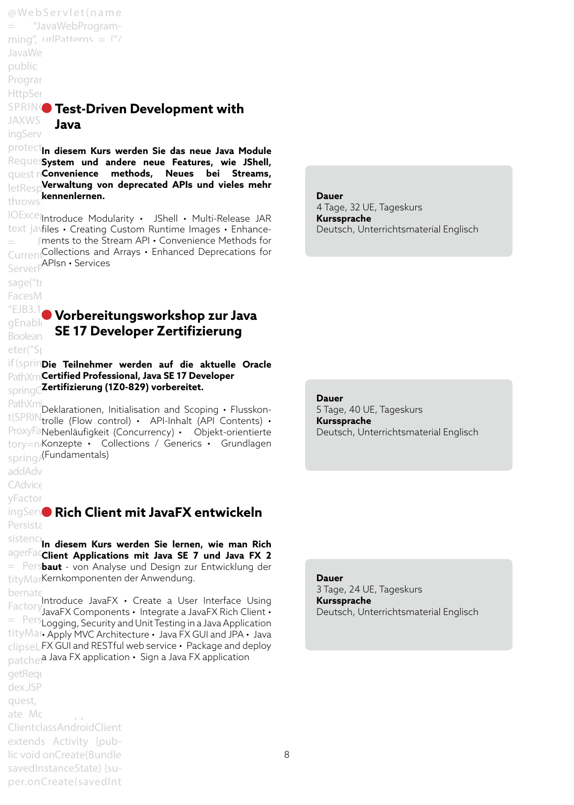@ We b S e r v l e t ( n a m e = "JavaWebProgramming", urlPatterns =  $\frac{4^n}{3}$ JavaWe public Program **HttpSer SPRING** Test-Driven Development with **JAXWS** ingServ **Protect<sub>in diesem Kurs werden Sie das neue Java Module**</sub> Requessystem und andere neue Features, wie JShell, quest ri**Convenience methods, Neues bei Streams, letResp<sup>v</sup>erwaltung von deprecated APIs und vieles mehr** throws. **kennenlernen.** IOExcel|Introduce Modularity · JShell · Multi-Release JAR text javfiles • Creating Custom Runtime Images • Enhance- $=$  Fments to the Stream API  $\boldsymbol{\cdot}$  Convenience Methods for CurrentCollections and Arrays • Enhanced Deprecations for ServerF<sup>APIsn • Services</sup> sage("tr FacesM  $"EJB3.1"$  )/ $\bullet$  who usit  $\bullet$ **Java**

eter("Sr

## **GENABLE Vorbereitungsworkshop zur Java Boolean SE 17 Developer Zertifizierung**

if (sprinDie Teilnehmer werden auf die aktuelle Oracle PathXml**Certified Professional, Java SE 17 Developer** springContext = new Class-**Zertifizierung (1Z0-829) vorbereitet.**

PathXml<br>Connupleklarationen, Initialisation and Scoping • Flusskont(SPRIN<sub>trolle</sub> (Flow control) • API-Inhalt (API Contents) • ProxyFaNebenläufigkeit (Concurrency) · Objekt-orientierte tory=neKonzepte • Collections / Generics • Grundlagen spring/(Fundamentals)

addAdv

CAdvice

yFactor

## **ingServo Rich Client mit JavaFX entwickeln** Persista

sistence**n diesem Kurs werden Sie lernen, wie man Rich** agerFac**client Applications mit Java SE 7 und Java FX 2** = Persbaut - von Analyse und Design zur Entwicklung der tityMarKernkomponenten der Anwendung.

bernate" (ENTITY Factory Introduce JavaFX • Create a User Interface Using<br>Factory lavaEX Components > Integrate a JavaEX Bigh Client + Enternal measurement integrate a satisfaction chemical Persian measurement tityMar Apply MVC Architecture · Java FX GUI and JPA · Java  $clipsel$  FX GUI and RESTful web service  $\cdot$  Package and deploy patcher<sup>a Java FX application • Sign a Java FX application</sup> JavaFX Components  $\bm{\cdot}$  Integrate a JavaFX Rich Client  $\bm{\cdot}$ 

getReque dex.JSP quest, ate Mobile Application Client class Android Client extends Activity {public void onCreate(Bundle savedInstanceState) {super.onCreate(savedInt

**Dauer**  4 Tage, 32 UE, Tageskurs **Kurssprache**  Deutsch, Unterrichtsmaterial Englisch

**Dauer**  5 Tage, 40 UE, Tageskurs **Kurssprache**  Deutsch, Unterrichtsmaterial Englisch

**Dauer** 

3 Tage, 24 UE, Tageskurs **Kurssprache**  Deutsch, Unterrichtsmaterial Englisch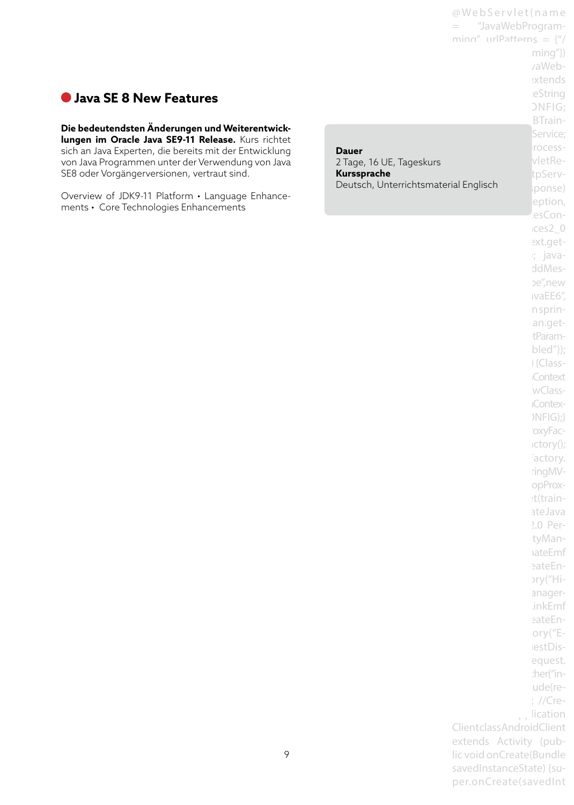## **Java SE 8 New Features**

## **Die bedeutendsten Änderungen und Weiterentwick-**

**lungen im Oracle Java SE9-11 Release.** Kurs richtet sich an Java Experten, die bereits mit der Entwicklung von Java Programmen unter der Verwendung von Java SE8 oder Vorgängerversionen, vertraut sind.

Overview of JDK9-11 Platform • Language Enhancements • Core Technologies Enhancements

|                                         | @WebServlet(name                  |                          |
|-----------------------------------------|-----------------------------------|--------------------------|
|                                         | "JavaWebProgram-                  |                          |
|                                         | ming" urlPatterns = $\frac{u}{l}$ |                          |
|                                         |                                   | ming"})                  |
|                                         |                                   | vaWeb-                   |
|                                         |                                   | extends                  |
|                                         |                                   | eString                  |
|                                         |                                   | <b>ONFIG;</b><br>BTrain- |
|                                         |                                   | Service;                 |
|                                         |                                   | rocess-                  |
| <b>Dauer</b>                            |                                   | vletRe-                  |
| 2 Tage, 16 UE, Tageskurs<br>Kurssprache |                                   | tpServ-                  |
| Deutsch, Unterrichtsmaterial Englisch   |                                   | ponse)                   |
|                                         |                                   | eption,                  |
|                                         |                                   | esCon-                   |
|                                         |                                   | ices2 0                  |
|                                         |                                   | ext.get-                 |
|                                         |                                   | r java-                  |
|                                         |                                   | ddMes-                   |
|                                         |                                   | be",new                  |
|                                         |                                   | ivaEE6''                 |
|                                         |                                   | n sprin-                 |
|                                         |                                   | an.get-                  |
|                                         |                                   | tParam-                  |
|                                         |                                   | $\text{bled}'$ );        |
|                                         |                                   | Glass-                   |
|                                         |                                   | Context                  |
|                                         |                                   | wClass-                  |
|                                         |                                   | <b>Contex-</b>           |
|                                         |                                   | )NFIG);}                 |
|                                         |                                   | oxyFac-<br>ictory();     |
|                                         |                                   | actory.                  |
|                                         |                                   | ringMV-                  |
|                                         |                                   | opProx-                  |
|                                         |                                   | :t(train-                |
|                                         |                                   | ateJava                  |
|                                         |                                   | 2.0 Per-                 |
|                                         |                                   | tyMan-                   |
|                                         |                                   | <b>ateEmf</b>            |
|                                         |                                   | eateEn-                  |
|                                         |                                   | pry("Hi-                 |
|                                         |                                   | anager-                  |
|                                         |                                   | .inkEmf                  |
|                                         |                                   | eateEn-                  |
|                                         |                                   | ory $("E-$               |
|                                         |                                   | lestDis-                 |
|                                         |                                   | equest.<br>:her("in-     |
|                                         |                                   | ude(re-                  |
|                                         |                                   | ; //Cre-                 |
|                                         |                                   | lication                 |
|                                         | ClientclassAndroidClient          |                          |
|                                         | extends Activity {pub-            |                          |
|                                         | lic void onCreate(Bundle          |                          |

savedInstanceState) {super.onCreate(savedInt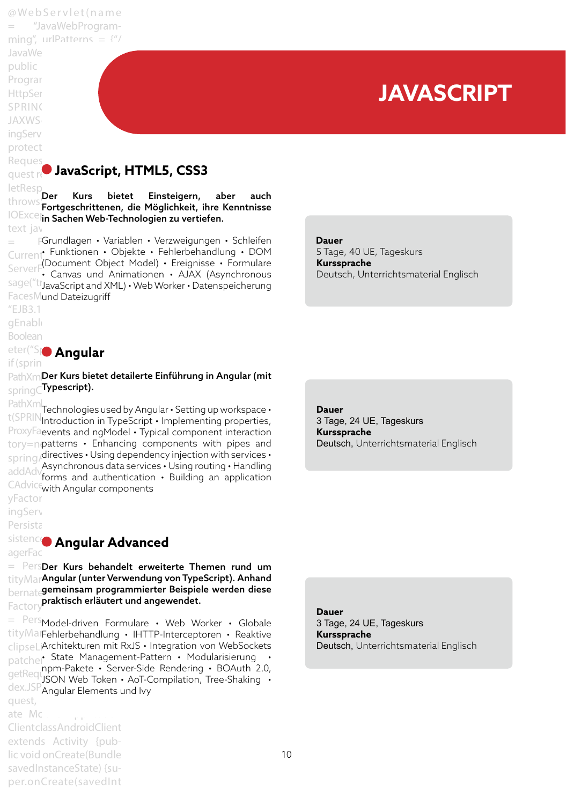@ We b S e r v l e t ( n a m e "JavaWebProgramming", urlPatterns =  $\frac{4^n}{3}$ JavaWe public Program HttpSer SPRING **JAXWS** ingServ protect Reques quest request, HttpServ-**JavaScript, HTML5, CSS3** letResp<br>Der Kurs bietet throws Servicus – Bietet Einsteigern, aber auch<br>Leichter Fortgeschrittenen, die Möglichkeit, ihre Kenntnisse  $\overline{\text{IOExce}}$ in Sachen Web-Tec text javaserverserverserver.  $\,=\,$  FGrundlagen • Variablen • Verzweigungen • Schleifen Current, Funktionen • Objekte • Fehlerbehandlung • DOM ServerFCDocument Object Model) • Ereignisse • Formulare<br>ServerFC Capyas und Animationen • AJAX (Asynchroneus sage("tr<sub>JavaScript and XML)</sub> • Web Worker • Datenspeicherung FacesMund Dateizugriff  $"EJB3.1"$ gEnable Boolean eter("Sportangular  $if$  (spring Einsteigern, aber auch in Sachen Web-Technologien zu vertiefen. • Canvas und Animationen • AJAX (Asynchronous  **Dauer**  5 Tage, 40 UE, Tageskurs **Kurssprache**  Deutsch, Unterrichtsmaterial Englisch **JAVASCRIPT**

PathXml**Der Kurs bietet detailerte Einführung in Angular (mit**  $_{\rm spring}$ C $\rm Ty$ pescript).

PathXml<br>Connul Technologies used by Angular • Setting up workspace • t(SPRIN<sub>Introduction</sub> in TypeScript • Implementing properties, ProxyFaevents and ngModel • Typical component interaction  $\mathop{\rm tory}\nolimits$  =n $\mathop{\rm patterns}\nolimits$  • Enhancing components with pipes and  $spring/\text{directives} \cdot \text{Using dependency injection with services} \cdot$ addAdv<sub>forms</sub> and authorices • Using routing • Handling<br>addAdvforms and authorication • Building an application CAdvice<sub>with</sub> Angular components forms and authentication • Building an application

yFactor ingServ

## Persista

#### sistence Angular Ac agerFactory history history history **Angular Advanced**

= PersDer Kurs behandelt erweiterte Themen rund um tityMar**Angular (unter Verwendung von TypeScript). Anhand** bernate**gemeinsam programmierter Beispiele werden diese** Factory**<sup>praktisch erläutert und angewendet.**</sup>

 $=$  Pers<sub>Model-driven Formulare • Web Worker • Globale</sub> tityMalFehlerbehandlung · IHTTP-Interceptoren · Reaktive clipseLiArchitekturen mit RxJS · Integration von WebSockets patcher State Management-Pattern • Modularisierung • npm-Pakete • Server-Side Rendering • BOAuth 2.0,<br>getRequestant Web Token • Act Compilation, Tree Shaking dex.JSP" Angular Flements quest, response in the set of the set of the set of the set of the set of the set of the set of the set of the set of the set of the set of the set of the set of the set of the set of the set of the set of the set of the s JSON Web Token • AoT-Compilation, Tree-Shaking • Angular Elements und Ivy

ate Mobile Application Client class AndroidClient extends Activity {public void onCreate(Bundle savedInstanceState) {super.onCreate(savedInt **Dauer** 3 Tage, 24 UE, Tageskurs **Kurssprache** Deutsch, Unterrichtsmaterial Englisch

**Dauer** 3 Tage, 24 UE, Tageskurs **Kurssprache** Deutsch, Unterrichtsmaterial Englisch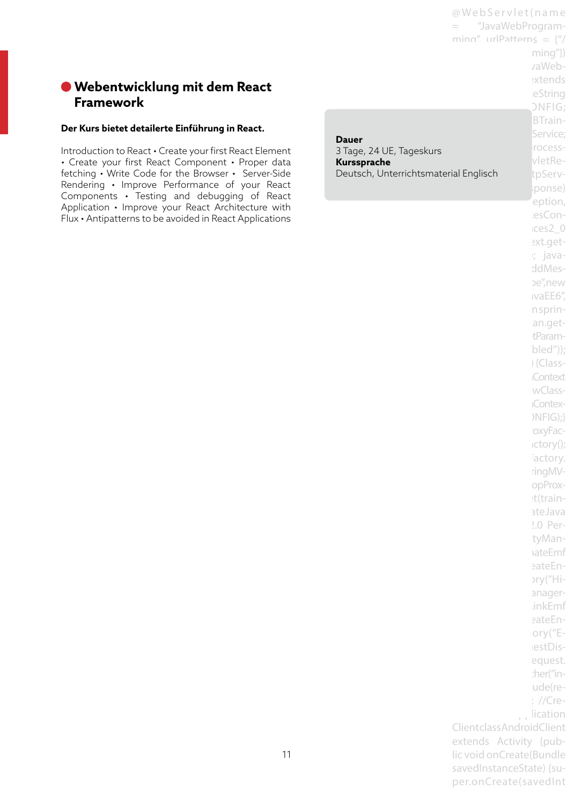## **Webentwicklung mit dem React Framework**

#### **Der Kurs bietet detailerte Einführung in React.**

Introduction to React • Create your first React Element • Create your first React Component • Proper data fetching • Write Code for the Browser • Server-Side Rendering • Improve Performance of your React Components • Testing and debugging of React Application • Improve your React Architecture with Flux • Antipatterns to be avoided in React Applications

Deutsch, Unterrichtsmaterial Englisch beutsch, Unterrichtsmaterial Englisch **Dauer** 3 Tage, 24 UE, Tageskurs **Kurssprache**

 $min(g'')$ vaWebextends ieString  $DNFIG:$ BTrain-Service: rocessvletRelponse) eption, iesCon $t$ ces2 $0$ ext.get $i$ ; javaddMesbe", new ivaEE6", n sprinan.gettParam $bled")$ ; i {Class-**Context** wClass-**IContex-** $NFG$ ;} 'oxyFac $ictory()$ ; iactory. ringMVopProxt(trainateJava 2.0 PertyManaateEmf eateEn- $\text{ary}$ ("Hianager-.inkEmf eateEnory $("E$ lestDisequest. :her("inude(re-;  $//Cre-$ . lication Client class AndroidClient extends Activity {public void onCreate(Bundle savedInstanceState) {super.onCreate(savedInt

@ We b S e r v l e t ( n a m e = "JavaWebProgramming", urlPatterns =  $\frac{y''}{z}$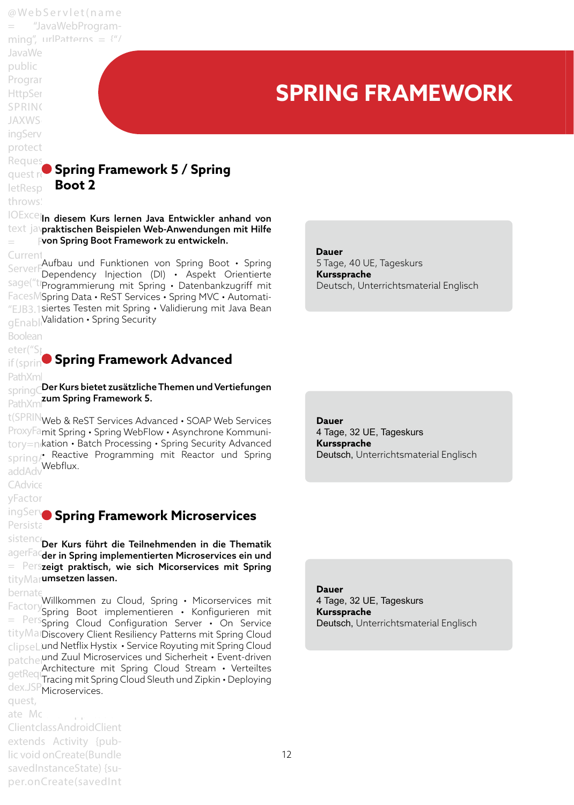@ We b S e r v l e t ( n a m e "JavaWebProgramming", urlPatterns =  $\frac{4^n}{3}$ JavaWe public Program HttpSer SPRING **JAXWS** ingServ protect Reques quest request, HttpServ-**Spring Framework 5 / Spring**  letResp throws IOExcel<sub>l</sub>n diesem Kurs lernen Java Entwickler anhand von text javpraktischen Beispielen Web-Anwendungen mit Hilfe  $\,=\,$  Fvon Spring Boot Framework zu entwickeln. Current<sub>inst</sub>ance () ServerFaufbau und Funktionen von Spring Boot • Spring<br>ServerFDopondency Injection (DI) • Aspekt Orientierte sage("trajectustie, new staten (21) in repend onentalete FacesMSpring Data · ReST Services · Spring MVC · Automati-"EJB3.1 siertes Testen mit Spring • Validierung mit Java Bean gEnabl<sub>l</sub>Validation • Spring Security Boolean  $\text{eter}("S)$  ,  $\blacksquare$ if (springEnabled) {Class-**Spring Framework Advanced** PathXml springC**Der Kurs bietet zusätzliche Themen und Vertiefungen** PathXm**zum Spring Framework 5.** t(SPRIN web & ReST Services Advanced • SOAP Web Services ProxyFamit Spring · Spring WebFlow · Asynchrone Kommuni- $\mathrm{tory}$ =n $\mathsf{k}$ ation • Batch Processing • Spring Security Advanced spring/ Reactive Programming mit Reactor und Spring addAdv<sup>Webflux</sup>. CAdvice yFactor ingServe Spring Fran Persistance **API 2.0 Persistance** sistence Der Kurs führt die Teilnehmenden in die Thematik agerFactor hand hand the numeration in the members of agerFactor = Perszeigt praktisch, wie sich Micorservices mit Spring tityMar**umsetzen lassen.** bernate<br>FactoryWillkommen zu Cloud, Spring • Micorservices mit Factory en Kommen zu Cloud, Spring • Pilcorservices mit = Pers<sub>Spring</sub> Boot imprementation incomgeneration into tityManDiscovery Client Resiliency Patterns mit Spring Cloud clipseLiund Netflix Hystix • Service Royuting mit Spring Cloud patcher die Zuul Microservices und Sicherheit • Event-driven architecture mit Spring Cloud Stream • Verteiltes<br>Stream in Spring Cloud Slouth und Zinkin • Donloving dex.JSP<sub>Microservices.</sub> quest, ate Mobile Application Client class Android Client extends Activity {public void onCreate(Bundle **SPRING FRAMEWORK Boot 2** Dependency Injection (DI) • Aspekt Orientierte  **Dauer**  5 Tage, 40 UE, Tageskurs **Kurssprache**  Deutsch, Unterrichtsmaterial Englisch **Dauer** 4 Tage, 32 UE, Tageskurs **Kurssprache** Deutsch, Unterrichtsmaterial Englisch **Spring Framework Microservices** Tracing mit Spring Cloud Sleuth und Zipkin • Deploying **Dauer** 4 Tage, 32 UE, Tageskurs **Kurssprache** Deutsch, Unterrichtsmaterial Englisch

savedInstanceState) {super.onCreate(savedInt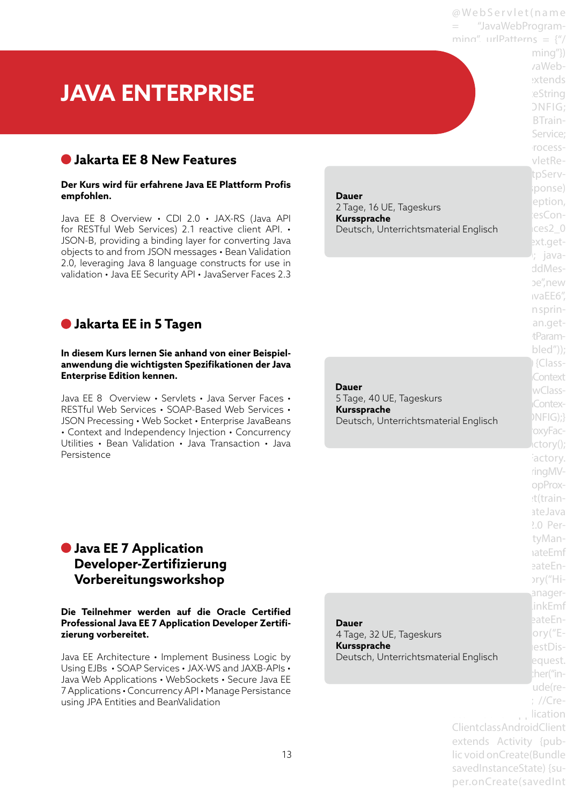@ We b S e r v l e t ( n a m e "JavaWebProgramming", urlPatterns =  $\frac{y''}{z}$ 

> $minq''$ } vaWebextends ieString  $ONFIG:$ BTrain-Service: rocess $v$ letRetpServponse) eption, esCon-

> ext.get-; javaddMesbe".new ivaEE6". n sprinan.gettParambled"));  $\lvert$  {Class-Context wClass-Contex-

> oxyFac $tctory()$ ; actory. ringMVopProxet(trainateJava  $2.0$  PertyManaateEmf eateEn-

# **JAVA ENTERPRISE**

## **Jakarta EE 8 New Features**

#### **Der Kurs wird für erfahrene Java EE Plattform Profis empfohlen.**

Java EE 8 Overview • CDI 2.0 • JAX-RS (Java API for RESTful Web Services) 2.1 reactive client API. • JSON-B, providing a binding layer for converting Java objects to and from JSON messages • Bean Validation 2.0, leveraging Java 8 language constructs for use in validation • Java EE Security API • JavaServer Faces 2.3

## **Jakarta EE in 5 Tagen**

#### **In diesem Kurs lernen Sie anhand von einer Beispielanwendung die wichtigsten Spezifikationen der Java Enterprise Edition kennen.**

Java EE 8 Overview • Servlets • Java Server Faces • RESTful Web Services • SOAP-Based Web Services • JSON Precessing • Web Socket • Enterprise JavaBeans • Context and Independency Injection • Concurrency Utilities • Bean Validation • Java Transaction • Java Persistence

#### Deutsch, Unterrichtsmaterial Englisch **CES2\_0 Dauer**  2 Tage, 16 UE, Tageskurs **Kurssprache**

narbeprassie<br>Deutsch, Unterrichtsmaterial Englisch MIFIG);}  **Dauer**  5 Tage, 40 UE, Tageskurs **Kurssprache** 

## **Java EE 7 Application Developer-Zertifizierung Vorbereitungsworkshop**

#### **Die Teilnehmer werden auf die Oracle Certified Professional Java EE 7 Application Developer Zertifizierung vorbereitet.**

Java EE Architecture • Implement Business Logic by Using EJBs • SOAP Services • JAX-WS and JAXB-APIs • Java Web Applications • WebSockets • Secure Java EE 7 Applications • Concurrency API • Manage Persistance using JPA Entities and BeanValidation

|                                       |                            | pry("Hi-                 |
|---------------------------------------|----------------------------|--------------------------|
|                                       |                            | anager-                  |
|                                       |                            | linkEmf                  |
| Dauer                                 |                            | eateEn-                  |
| 4 Tage, 32 UE, Tageskurs              |                            | ory( $E$ -               |
| Kurssprache                           |                            | estDis-                  |
| Deutsch, Unterrichtsmaterial Englisch |                            | equest.                  |
|                                       |                            | :her("in-                |
|                                       |                            | ude(re-                  |
|                                       |                            | $\frac{1}{2}$ //Cre-     |
|                                       | ill million i              | $\frac{1}{2}$ . lication |
|                                       | ClientclassAndroidClient   |                          |
|                                       | extends Activity {pub-     |                          |
|                                       | lic void on Create (Bundle |                          |
|                                       | savedInstanceState) {su-   |                          |
|                                       | per.onCreate(savedInt      |                          |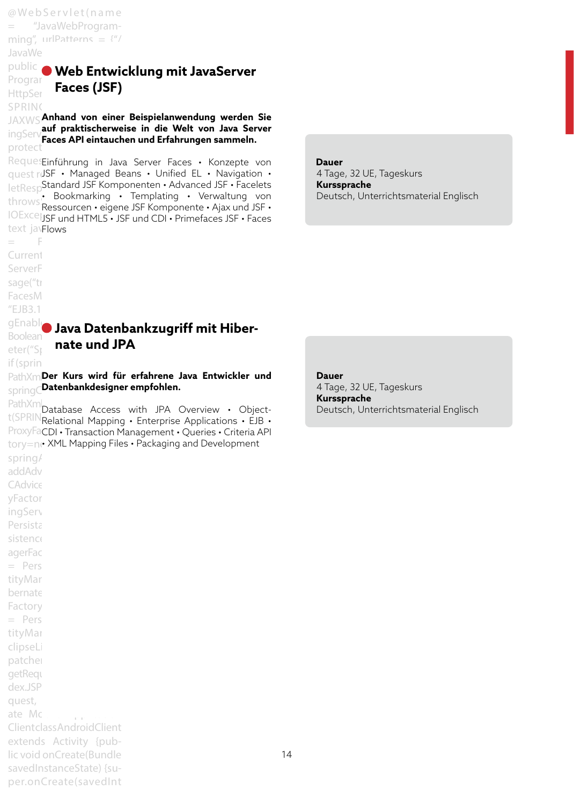@ We b S e r v l e t ( n a m e = "JavaWebProgramming", urlPatterns =  $\frac{4^n}{3}$ JavaWe

SPRING\_3\_0\_CONFIG;

 $=$  F Current ServerF sage("tr FacesM  $EIB3.1$ 

eter("Sp  $if$  (spring

addAdv CAdvice yFactor ingServ Persista sistence agerFac  $=$  Pers tityMar bernate Factory  $=$  Pers tityMar clipseLi patcher getReque dex.JSP quest,

ate Mobile Application Client class Android Client extends Activity {public void onCreate(Bundle savedInstanceState) {super.onCreate(savedInt

#### public C Mob Entwi Program **Web Entwicklung mit JavaServer** Htt<sub>pSer</sub> **Faces (JSF)**

JAXWS **Anhand von einer Beispielanwendung werden Sie** ingServature praktischerwe migber v**Faces API eintauchen und Erfahrungen sammeln.**<br>protect **auf praktischerweise in die Welt von Java Server** 

RequesEinführung in Java Server Faces · Konzepte von quest ruSF • Managed Beans • Unified EL • Navigation • letResp<sup>Standard</sup> JSF Komponenten • Advanced JSF • Facelets throws: Bookmarking • Templating • Verwaltung von<br>Lord Ressourcen • eigene JSF Komponente • Ajax und JSF • IOExcelissF und HTML5 • JSF und CDI • Primefaces JSF • Faces text javFlows • Bookmarking • Templating • Verwaltung von

#### **Dauer**

4 Tage, 32 UE, Tageskurs **Kurssprache**  Deutsch, Unterrichtsmaterial Englisch

#### gEnable Lave Daten Boolean**Nava Datenbankzugriff mit Hiber-**<br>Boolean **nate und JPA**

PathXmlDer Kurs wird für erfahrene Java Entwickler und  $\mathsf{springC}$ **Datenbankdesigner empfohlen.** 

PathXml<br>Connui Database Access with JPA Overview • Objectt(SPRIN<sub>Relational</sub> Mapping • Enterprise Applications • EJB • ProxyFaCDI • Transaction Management • Queries • Criteria API  $_{\rm tory=ne}$  XML Mapping Files  $\boldsymbol{\cdot}$  Packaging and Development spring/

**Dauer**  4 Tage, 32 UE, Tageskurs **Kurssprache**  Deutsch, Unterrichtsmaterial Englisch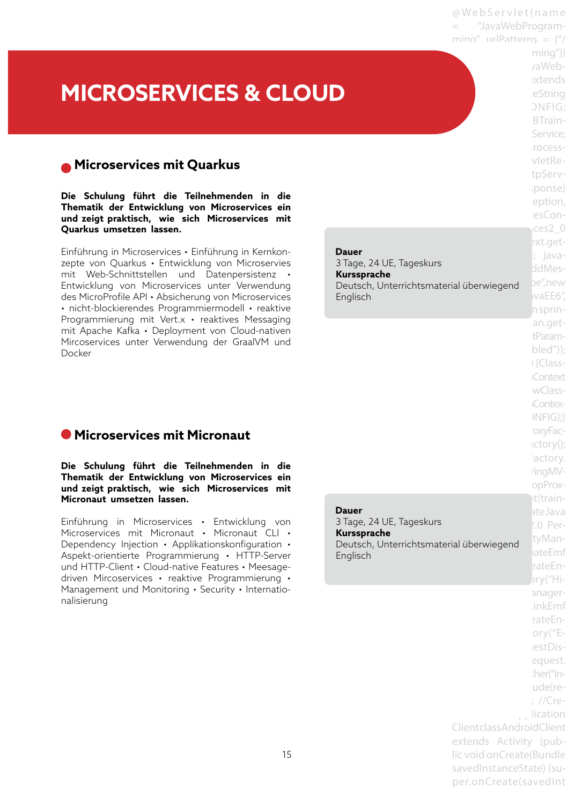**MICROSERVICES & CLOUD**

## **Microservices mit Quarkus**

**Die Schulung führt die Teilnehmenden in die Thematik der Entwicklung von Microservices ein und zeigt praktisch, wie sich Microservices mit Quarkus umsetzen lassen.**

Einführung in Microservices • Einführung in Kernkonzepte von Quarkus • Entwicklung von Microservies mit Web-Schnittstellen und Datenpersistenz • Entwicklung von Microservices unter Verwendung des MicroProfile API • Absicherung von Microservices • nicht-blockierendes Programmiermodell • reaktive Programmierung mit Vert.x • reaktives Messaging mit Apache Kafka • Deployment von Cloud-nativen Mircoservices unter Verwendung der GraalVM und Docker

## **Microservices mit Micronaut**

**Die Schulung führt die Teilnehmenden in die Thematik der Entwicklung von Microservices ein und zeigt praktisch, wie sich Microservices mit Micronaut umsetzen lassen.**

Einführung in Microservices • Entwicklung von Microservices mit Micronaut • Micronaut CLI • Dependency Injection • Applikationskonfiguration • Aspekt-orientierte Programmierung • HTTP-Server und HTTP-Client • Cloud-native Features • Meesagedriven Mircoservices • reaktive Programmierung • Management und Monitoring • Security • Internationalisierung

|        |                                                                                                                                     | NFIG);<br>oxyFac-<br>$ictory()$ ;<br>actory.<br>ringMV-<br>opProx-<br>t(train-                                      |
|--------|-------------------------------------------------------------------------------------------------------------------------------------|---------------------------------------------------------------------------------------------------------------------|
| skurs! | tsmaterial überwiegend                                                                                                              | ateJava<br>2.0 Per-<br>tyMan-<br>ateEmf<br>eateEn-<br>bry("Hi-                                                      |
|        | ClientclassAndroidClient<br>extends Activity {pub-<br>lic void onCreate(Bundle<br>savedInstanceState) {su-<br>per.onCreate(savedInt | anager-<br>.inkEmf<br>eateEn-<br>$ory("E-$<br>lestDis-<br>equest.<br>:her("in-<br>ude(re-<br>; //Cre-<br>. lication |

@ Web Servlet (name = "JavaWebProgramming", urlPatterns =  $\frac{y''}{z}$ 

> $minq''$ } vaWebextends ieString  $DNFIG:$ BTrain-Service: rocessvletRetpServiponse) eption, iesCon $t$ ces2 $0$ ext.get-; java-SeMes-

 $vaEE6''$ n sprinan.gettParambled")); i {Class-**Context** wClass-**Contex-**

narbeprassen<br>Deutsch, Unterrichtsmaterial überwiegend pe<sup>",</sup>new  **Dauer**  3 Tage, 24 UE, Tageskurs **Kurssprache**  Englisch

 **Dauer** 

3 Tage, 24 UE, Tage **Kurssprache**  Deutsch, Unterricht Englisch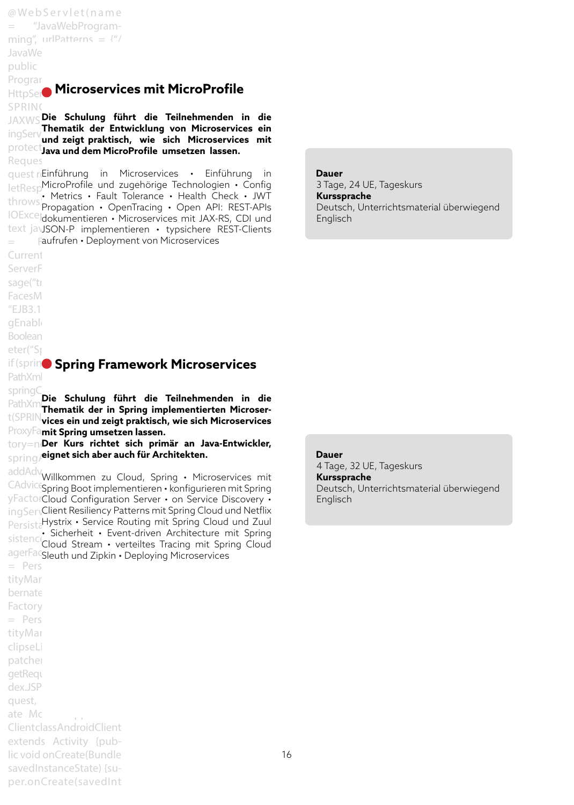@ We b S e r v l e t ( n a m e = "JavaWebProgramming", urlPatterns =  $\frac{4^n}{3}$ JavaWe public Programming extends to the set

## **HttpSer Microservices mit MicroProfile**

SPRING\_3\_0CONFIGURE JAXWS **Die Schulung führt die Teilnehmenden in die** ingService trainingService; **und zeigt praktisch, wie sich Microservices mit**  protect**ing asige praisibility and start indicessed.** Reques **Thematik der Entwicklung von Microservices ein** 

quest retinführung in Microservices • Einführung in letResp<sup>MicroProfile</sup> und zugehörige Technologien • Config  $t$ hrows: Pretrics • Fault Tolerance • Health Crieck • JWT<br> $t \sim \pi$  Propagation • OpenTracing • Open API: REST-APIs IOExcel<sub>dokumentieren</sub> • Microservices mit JAX-RS, CDI und text javJSON-P implementieren · typsichere REST-Clients  $=$  Faufrufen • Deployment von Microservices • Metrics • Fault Tolerance • Health Check • JWT

Current

ServerF

sage("tr

FacesM

 $"EJB3.1"$ 

gEnable

Boolean

eter("Sr

PathXml

**if (spring Spring Framework Microservices** 

springC<br><sub>Datb</sub>y<sub>ma</sub>**Die Schulung führt die Teilnehmenden in die** PathXm**illie Schulung funnt die Teimenmenden in die**<br>Connte**x-Exercise in Spring implementierten Microser**t(SPRING\_3\_1\_CONFIG);} **vices ein und zeigt praktisch, wie sich Microservices**  ProxyFa**mit Spring umsetzen lassen.** 

tory=ne**Der Kurs richtet sich primär an Java-Entwickler,**  $\mathsf{spring}/$ **eignet sich aber auch für Architekten.** 

addAdvwillkommen zu Cloud, Spring • Microservices mit CAdvice<sub>Spring</sub> Boot implementieren • konfigurieren mit Spring yFactorCloud Configuration Server • on Service Discovery •  $\log$ Ser $\sqrt{\text{Client Resili}}$ ency Patterns mit Spring Cloud und Netflix PersistaHystrix • Service Routing mit Spring Cloud und Zuul sistence Sicherheit • Event-driven Architecture mit Spring<br>Sistence Naud Stream • verteiltes Tracing mit Spring Cloud agerFacsleuth und Zipkin • Deploying Microservices Cloud Stream • verteiltes Tracing mit Spring Cloud

 $=$  Pers tityMar bernate Factory  $=$  Pers tityMar clipseLi patcher getReque dex.JSP quest, ate Mobile Application Client class AndroidClient extends Activity {public void onCreate(Bundle savedInstanceState) {su-

per.onCreate(savedInt

#### **Dauer**

3 Tage, 24 UE, Tageskurs **Kurssprache**  Deutsch, Unterrichtsmaterial überwiegend Englisch

#### **Dauer**

4 Tage, 32 UE, Tageskurs **Kurssprache**  Deutsch, Unterrichtsmaterial überwiegend Englisch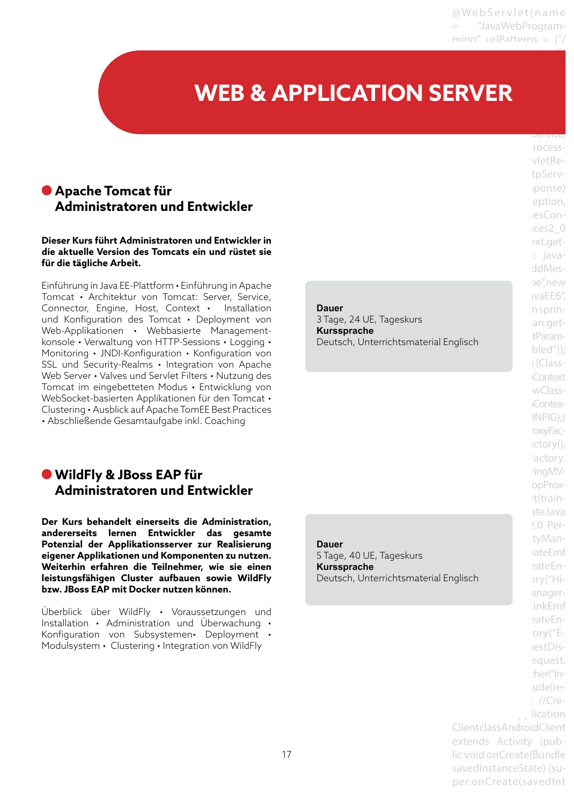JavaWebProgramming"})

#### Programming extends **WEB & APPLICATION SERVER** SPRING\_3\_0\_CONFIG;

## **Apache Tomcat für Administratoren und Entwickler**

#### **Dieser Kurs führt Administratoren und Entwickler in die aktuelle Version des Tomcats ein und rüstet sie für die tägliche Arbeit.**

Einführung in Java EE-Plattform • Einführung in Apache Tomcat • Architektur von Tomcat: Server, Service, Connector, Engine, Host, Context • Installation und Konfiguration des Tomcat • Deployment von Web-Applikationen • Webbasierte Managementkonsole • Verwaltung von HTTP-Sessions • Logging • Monitoring • JNDI-Konfiguration • Konfiguration von SSL und Security-Realms • Integration von Apache Web Server • Valves und Servlet Filters • Nutzung des Tomcat im eingebetteten Modus • Entwicklung von WebSocket-basierten Applikationen für den Tomcat • Clustering • Ausblick auf Apache TomEE Best Practices • Abschließende Gesamtaufgabe inkl. Coaching

## **WildFly & JBoss EAP für Administratoren und Entwickler**

**Der Kurs behandelt einerseits die Administration, andererseits lernen Entwickler das gesamte Potenzial der Applikationsserver zur Realisierung eigener Applikationen und Komponenten zu nutzen. Weiterhin erfahren die Teilnehmer, wie sie einen leistungsfähigen Cluster aufbauen sowie WildFly bzw. JBoss EAP mit Docker nutzen können.**

Überblick über WildFly • Voraussetzungen und Installation • Administration und Überwachung • Konfiguration von Subsystemen• Deployment • Modulsystem • Clustering • Integration von WildFly

## **Dauer**

3 Tage, 24 UE, Tageskurs **Kurssprache**  Deutsch, Unterrichtsmaterial Englisch

## **Dauer**

5 Tage, 40 UE, Tageskurs **Kurssprache**  Deutsch, Unterrichtsmaterial Englisch

ings in the service; rocessvletRetpServiponse) eption, iesCon $res2<sub>0</sub>$ ext.get $i$ ; javaddMesbe".new ivaEE6". n sprinan.gettParambled")); i {Class-**Context** wClass-**Contex-** $NFIG:$ oxyFac $ictory()$ ; actory. ringMVopProxet(trainateJava  $2.0$  PertyManaateEmf eateEn- $\text{ary}$ ("Hianager-.inkEmf eateEnory $("E$ lestDisequest. :her("inude(re- $:$  //Crelication Client class AndroidClient extends Activity {public void onCreate(Bundle savedInstanceState) {super.onCreate(savedInt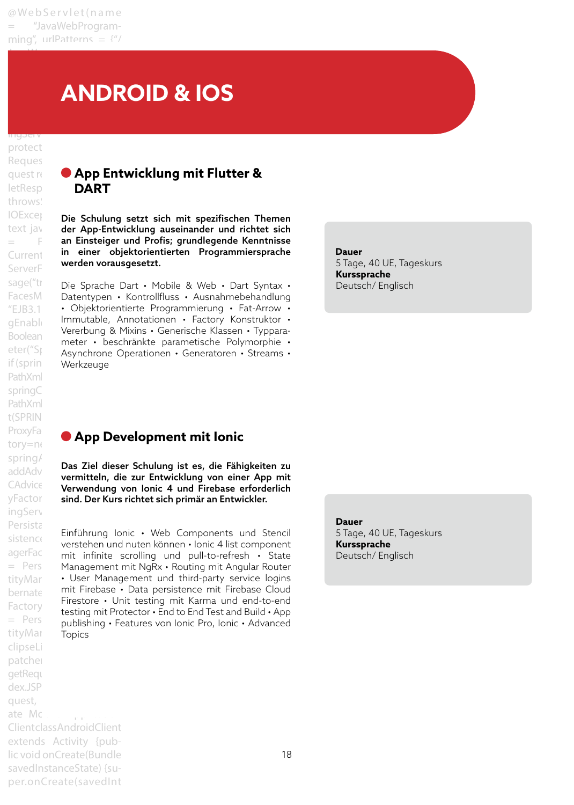JavaWebProgramming"})

## Programming extends **EXERGIVE ANDROID & IOS**

## ingservice trainingservice trainings protect Reques letResp**DART** throws: ServerF Boolean if (springEnable) werkzeuge PathXml springC PathXml t(SPRING\_3\_1\_CONFIG);} ProxyFa tory=ne spring/ addAdv ingServ Persista tityMar clipseLi patcher getReque dex.JSP quest, ate Mobile Application Client class AndroidClient extends Activity {public void onCreate(Bundle savedInstanceState) {super.onCreate(savedInt

# **quest request Capp Entwicklung mit Flutter &**

IOEXCel Die Schulung setzt sich mit spezifischen Themen text jav der App-Entwicklung auseinander und richtet sich  $\equiv$  Fan Einsteiger und Profis; grundlegende Kenntnisse Current in einer objektorientierten Programmiersprache werden vorausgesetzt.

sage("trapinie Sprache Dart • Mobile & Web • Dart Syntax • FacesM Datentypen • Kontrollfluss • Ausnahmebehandlung "EJB3.1 • Objektorientierte Programmierung • Fat-Arrow • gEnabled Immutable, Annotationen • Factory Konstruktor • eter("Springenabled") i Asynchrone Operationen • Generatoren • Streams • Vererbung & Mixins • Generische Klassen • Typparameter • beschränkte parametische Polymorphie •

#### **Dauer**  5 Tage, 40 UE, Tageskurs **Kurssprache**  Deutsch/ Englisch

## **App Development mit Ionic**

CAdvice Committee Can Entertaining von Sine Prop. yFactor sind. Der Kurs richtet sich primär an Entwickler. Das Ziel dieser Schulung ist es, die Fähigkeiten zu vermitteln, die zur Entwicklung von einer App mit

 $s$ istence Unitainung forme • web Components und Stench agerFactory historial materials in the component = Pers Management mit NgRx • Routing mit Angular Router tityMar • User Management und third-party service logins bernate in mit Firebase • Data persistence mit Firebase Cloud Factory Friestore • Ont testing thit Karina and end-to-end<br>testing mit Protector • End to End Test and Build • App Pers publishing • Features von Ionic Pro, Ionic • Advanced Einführung Ionic • Web Components und Stencil Firestore • Unit testing mit Karma und end-to-end Topics

**Dauer**  5 Tage, 40 UE, Tageskurs **Kurssprache**  Deutsch/ Englisch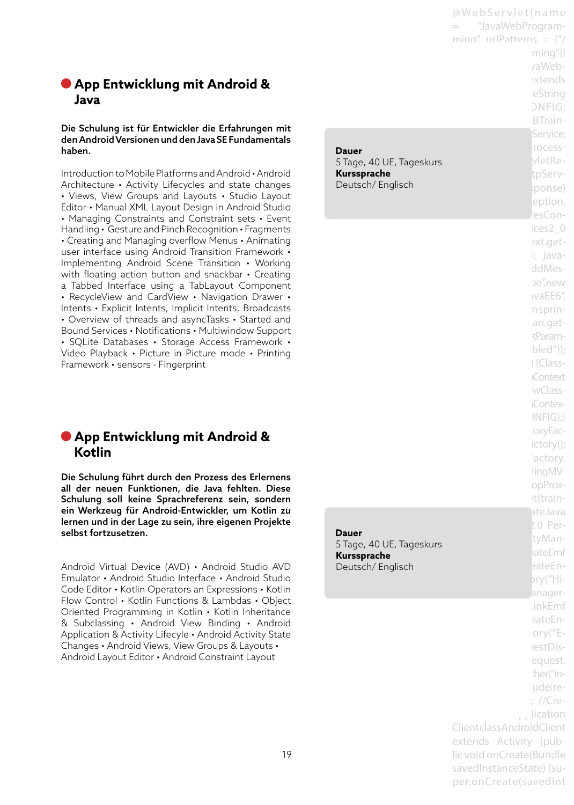## **App Entwicklung mit Android & Java**

#### Die Schulung ist für Entwickler die Erfahrungen mit den Android Versionen und den Java SE Fundamentals haben.

Introduction to Mobile Platforms and Android • Android Architecture • Activity Lifecycles and state changes • Views, View Groups and Layouts • Studio Layout Editor • Manual XML Layout Design in Android Studio • Managing Constraints and Constraint sets • Event Handling • Gesture and Pinch Recognition • Fragments • Creating and Managing overflow Menus • Animating user interface using Android Transition Framework • Implementing Android Scene Transition • Working with floating action button and snackbar • Creating a Tabbed Interface using a TabLayout Component • RecycleView and CardView • Navigation Drawer • Intents • Explicit Intents, Implicit Intents, Broadcasts • Overview of threads and asyncTasks • Started and Bound Services • Notifications • Multiwindow Support • SQLite Databases • Storage Access Framework • Video Playback • Picture in Picture mode • Printing Framework • sensors - Fingerprint

## **App Entwicklung mit Android & Kotlin**

Die Schulung führt durch den Prozess des Erlernens all der neuen Funktionen, die Java fehlten. Diese Schulung soll keine Sprachreferenz sein, sondern ein Werkzeug für Android-Entwickler, um Kotlin zu lernen und in der Lage zu sein, ihre eigenen Projekte selbst fortzusetzen.

Android Virtual Device (AVD) • Android Studio AVD Emulator • Android Studio Interface • Android Studio Code Editor • Kotlin Operators an Expressions • Kotlin Flow Control • Kotlin Functions & Lambdas • Object Oriented Programming in Kotlin • Kotlin Inheritance & Subclassing • Android View Binding • Android Application & Activity Lifecyle • Android Activity State Changes • Android Views, View Groups & Layouts • Android Layout Editor • Android Constraint Layout

|                                 | @WebServlet(name                  |
|---------------------------------|-----------------------------------|
|                                 | "JavaWebProgram-                  |
|                                 | ming" urlPatterns = $\frac{1}{2}$ |
|                                 | $ming''$ }                        |
|                                 | vaWeb-                            |
|                                 | extends                           |
|                                 | eString                           |
|                                 | <b>ONFIG;</b>                     |
|                                 | BTrain-                           |
|                                 | Service;                          |
| Dauer                           | rocess-                           |
| 5 Tage, 40 UE, Tageskurs        | vletRe-                           |
| Kurssprache                     | tpServ-                           |
| Deutsch/Englisch                | ponse)                            |
|                                 | eption,                           |
|                                 | esCon-                            |
|                                 | $cces2_0$                         |
|                                 | ext.get-                          |
|                                 | r; java-                          |
|                                 | ddMes-                            |
|                                 | be",new                           |
|                                 | ivaEE6''                          |
|                                 | n sprin-                          |
|                                 | an.get-                           |
|                                 | tParam-                           |
|                                 | $\text{bled}'$ );                 |
|                                 | Glass-                            |
|                                 | Context                           |
|                                 | wClass-                           |
|                                 | <b>Contex-</b>                    |
|                                 | NFIG);                            |
|                                 | oxyFac-                           |
|                                 | ictory();<br>actory.              |
|                                 | ringMV-                           |
|                                 | opProx-                           |
|                                 | :t(train-                         |
|                                 | ateJava                           |
|                                 | 2.0 Per-                          |
| <b>Dauer</b>                    | tyMan-                            |
| 5 Tage, 40 UE, Tageskurs        | hateEmf                           |
| Kurssprache<br>Deutsch/Englisch | eateEn-                           |
|                                 | bry("Hi-                          |
|                                 | anager-                           |
|                                 | .inkEmf                           |
|                                 | eateEn-                           |
|                                 | ory $("E-$                        |
|                                 | lestDis-                          |
|                                 | equest.                           |
|                                 | :her("in-                         |
|                                 | ude(re-                           |
|                                 | ; //Cre-                          |
|                                 | lication                          |
|                                 | ClientclassAndroidClient          |
|                                 | extends Activity {pub-            |
|                                 | lic void onCreate(Bundle          |
|                                 | savedInstanceState) {su-          |

per.onCreate(savedInt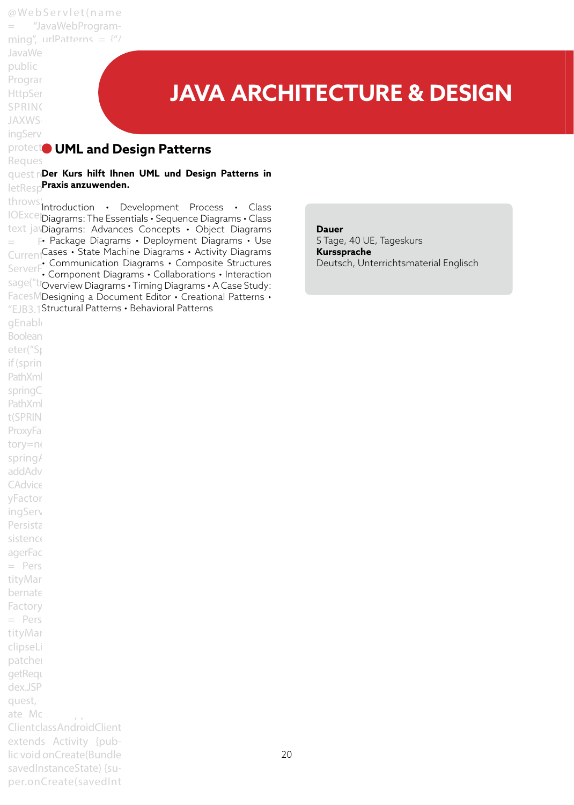@ We b S e r v l e t ( n a m e = "JavaWebProgramming", urlPatterns =  $\frac{4^n}{7}$ JavaWe public Program **HttpSer** SPRING **JAXWS** 

# **JAVA ARCHITECTURE & DESIGN**

#### **protect<sup>o</sup> UML and Design Patterns** Reques

quest ri**Der Kurs hilft Ihnen UML und Design Patterns in** letResp**Praxis anzuwenden.** 

Boolean eter("Sp if (sprin PathXml springC PathXml t(SPRING\_3\_1\_CONFIG);} ProxyFa tory=ne spring/ addAdv CAdvice yFactor ingServ Persista sistence agerFac  $=$  Pers tityMar bernate Factory  $=$  Pers tityMar clipseLi patcher getReque dex.JSP quest,

ate Mobile Application Client class AndroidClient extends Activity {public void onCreate(Bundle savedInstanceState) {super.onCreate(savedInt

ingServ

throws:<br>Introduction • Development Process • Class IOExcellDiagrams: The Essentials • Sequence Diagrams • Class text javDiagrams: Advances Concepts · Object Diagrams  $\equiv$  F• Package Diagrams • Deployment Diagrams • Use CurrentCases • State Machine Diagrams • Activity Diagrams ServerF Communication Diagrams • Composite Structures<br>ServerF Component Diagrams • Collaborations • Interaction sage("troverview Diagrams • Timing Diagrams • A Case Study: FacesMDesigning a Document Editor · Creational Patterns · "EJB3.1 Structural Patterns . Behavioral Patterns gEnable • Component Diagrams • Collaborations • Interaction

**Dauer** 

5 Tage, 40 UE, Tageskurs **Kurssprache**  Deutsch, Unterrichtsmaterial Englisch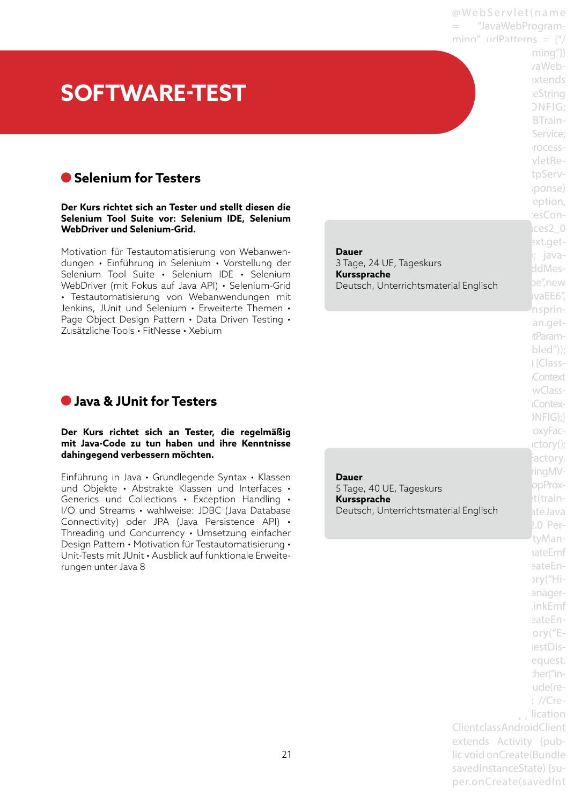@ We b S e r v l e t ( n a m e = "JavaWebProgramming", urlPatterns =  $\frac{y''}{z}$  $minq''$ }

vaWeb-

# **SOFTWARE-TEST**

## **Selenium for Testers**

**Der Kurs richtet sich an Tester und stellt diesen die Selenium Tool Suite vor: Selenium IDE, Selenium WebDriver und Selenium-Grid.**

Motivation für Testautomatisierung von Webanwendungen • Einführung in Selenium • Vorstellung der Selenium Tool Suite • Selenium IDE • Selenium WebDriver (mit Fokus auf Java API) • Selenium-Grid • Testautomatisierung von Webanwendungen mit Jenkins, JUnit und Selenium • Erweiterte Themen • Page Object Design Pattern • Data Driven Testing • Zusätzliche Tools • FitNesse • Xebium

| <b>Dauer</b>                          |
|---------------------------------------|
| 3 Tage, 24 UE, Tageskurs              |
| Kurssprache                           |
| Deutsch, Unterrichtsmaterial Englisch |

## **Java & JUnit for Testers**

#### **Der Kurs richtet sich an Tester, die regelmäßig mit Java-Code zu tun haben und ihre Kenntnisse dahingegend verbessern möchten.**

Einführung in Java • Grundlegende Syntax • Klassen und Objekte • Abstrakte Klassen und Interfaces • Generics und Collections • Exception Handling • I/O und Streams • wahlweise: JDBC (Java Database Connectivity) oder JPA (Java Persistence API) • Threading und Concurrency • Umsetzung einfacher Design Pattern • Motivation für Testautomatisierung • Unit-Tests mit JUnit • Ausblick auf funktionale Erweiterungen unter Java 8

Deutsch, Unterrichtsmaterial Englisch batelava **Dauer**  5 Tage, 40 UE, Tageskurs **Kurssprache** 

extends ieString ONFIG: BTrain-Service: rocessvletRetpServiponse) eption, iesCon $res2<sub>0</sub>$ ext.get-; javaddMesbe".new ivaEE6". 'n sprinan.gettParambled")); i {Class-**Context** wClass-**Contex-** $NFG$ ;} oxyFac $ictory()$ ; actory. ringMVopProxt(train- $2.0$  PertyManaateEmf eateEn- $\text{ary}$ ("Hianager-.inkEmf eateEnory $("E$ lestDisequest. :her("inude(re- $:$  //Crelication Client class AndroidClient extends Activity {public void onCreate(Bundle savedInstanceState) {super.onCreate(savedInt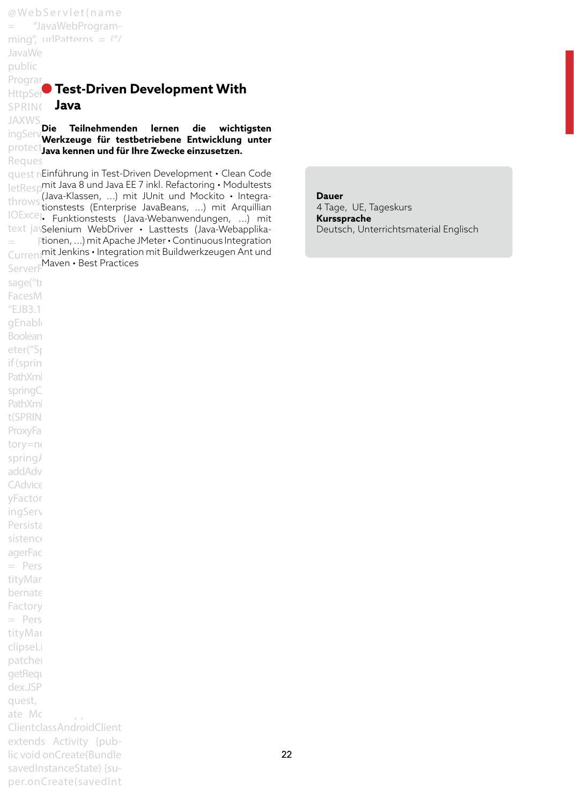@ We b S e r v l e t ( n a m e = "JavaWebProgramming", urlPatterns =  $\frac{4^n}{7}$ JavaWe public Programming  $\blacksquare$ **HttpSer** $\bullet$  **Test-Driven Development With** SPRING Java JAXWS<br>**Die Teilnehmenden**<br>Clientis in the T ingServ**uter Teilnehmenden lernen die wichtigsten**<br>IngServ**uterkzeuge für testhetriebene Entwicklung unter** protect**ien void zur der vorschiedene Einzusetzen.**<br>P<sup>rotect</sup>java kennen und für Ihre Zwecke einzusetzen. Reques quest retinführung in Test-Driven Development • Clean Code letRespmit Java 8 und Java EE 7 inkl. Refactoring • Modultests throws (Java-Klassen, ...) mit JUnit und Mockito • Integra-<br>Throws tionstests (Enterprise JavaBoans - ) mit Arquillian IOExceptionstests (Enterprise savabeans, ...) mit Auguman text javSelenium WebDriver · Lasttests (Java-Webapplika- $\equiv$  Ftionen, ...) mit Apache JMeter  $\boldsymbol{\cdot}$  Continuous Integration Currentmit Jenkins • Integration mit Buildwerkzeugen Ant und ServerFMaven • Best Practices sage("tr FacesM  $"EJB3.1"$ gEnable Boolean eter("Sp if (sprin PathXml springC PathXml t(SPRING\_3\_1\_CONFIG);} ProxyFa **Werkzeuge für testbetriebene Entwicklung unter**  tionstests (Enterprise JavaBeans, ...) mit Arquillian

tory=ne spring/ addAdv CAdvice yFactor ingServ Persista sistence agerFac  $=$  Pers tityMar bernate Factory  $=$  Pers tityMar clipseLi patcher getReque dex.JSP quest,

ate Mobile Application Client class AndroidClient extends Activity {public void onCreate(Bundle savedInstanceState) {super.onCreate(savedInt **Dauer**  4 Tage, UE, Tageskurs **Kurssprache**  Deutsch, Unterrichtsmaterial Englisch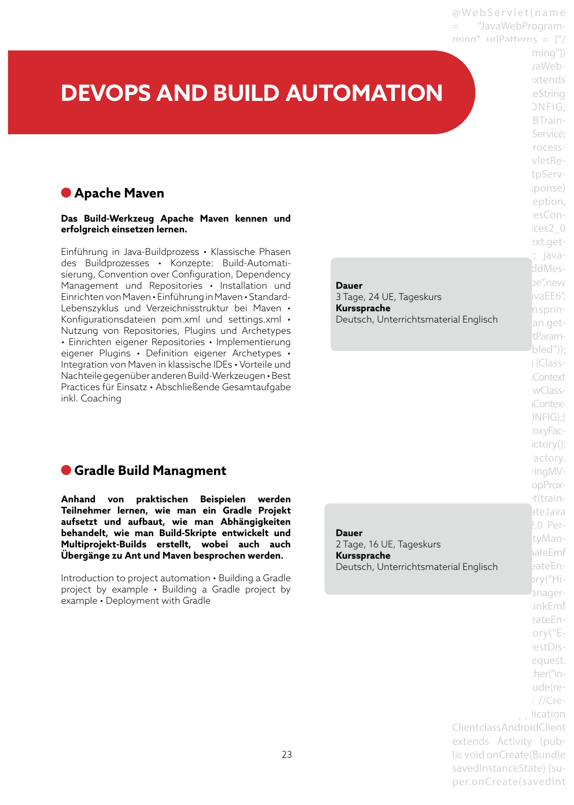@ Web Servlet (name "JavaWebProgramming", urlPatterns =  $\frac{y''}{x}$ 

# **DEVOPS AND BUILD AUTOMATION**

## **Apache Maven**

**Das Build-Werkzeug Apache Maven kennen und erfolgreich einsetzen lernen.**

Einführung in Java-Buildprozess • Klassische Phasen des Buildprozesses • Konzepte: Build-Automatisierung, Convention over Configuration, Dependency Management und Repositories • Installation und Einrichten von Maven • Einführung in Maven • Standard-Lebenszyklus und Verzeichnisstruktur bei Maven • Konfigurationsdateien pom.xml und settings.xml • Nutzung von Repositories, Plugins und Archetypes • Einrichten eigener Repositories • Implementierung eigener Plugins • Definition eigener Archetypes • Integration von Maven in klassische IDEs • Vorteile und Nachteile gegenüber anderen Build-Werkzeugen • Best Practices für Einsatz • Abschließende Gesamtaufgabe inkl. Coaching

## **Gradle Build Managment**

**Anhand von praktischen Beispielen werden Teilnehmer lernen, wie man ein Gradle Projekt aufsetzt und aufbaut, wie man Abhängigkeiten behandelt, wie man Build-Skripte entwickelt und Multiprojekt-Builds erstellt, wobei auch auch Übergänge zu Ant und Maven besprochen werden.**

Introduction to project automation • Building a Gradle project by example • Building a Gradle project by example • Deployment with Gradle

Deutsch, Unterrichtsmaterial Englisch eateEn-**Dauer**  2 Tage, 16 UE, Tageskurs **Kurssprache** 

**Dauer** 

**Kurssprache** 

3 Tage, 24 UE, Tageskurs

 $minq''$ } vaWebextends ieString  $DNFIG:$ BTrain-Service: rocessvletRetpServiponse) eption, iesCon $res2<sub>0</sub>$ ext.get-; javaddMesbe".new ivaEE6". n sprin-Deutsch, Unterrichtsmaterial Englischerten an.gettParam- $\theta$ bled")); i {Class-**Context** wClass-**Contex-** $NFIG;$ 'oxyFac $ictory()$ ; actory. ringMVopProxt(trainateJava  $2.0$  PertyManhateEmf bry("Hi-'anager-.inkEmf eateEnory $($ "ElestDisequest. ther("inude(re- $:$  //Crelication Client class AndroidClient extends Activity {public void onCreate(Bundle savedInstanceState) {su-

per.onCreate(savedInt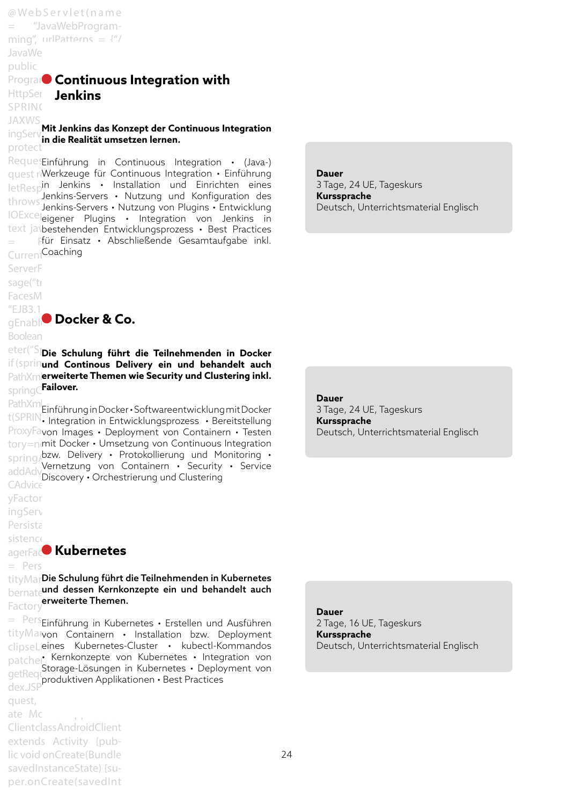@ We b S e r v l e t ( n a m e "JavaWebProgramming", urlPatterns =  $\frac{4^n}{3}$ JavaWe public **Program** Continuous Integration with HttpSer **Jenkins** SPRING JAXWS<br><sub>ingSom</sub> **Mit Jenkins das Konzept der Continuous Integration** ingServin Jie Dealität ume **in die Realität umsetzen lernen.**<br>protect RequesEinführung in Continuous Integration · (Java-) quest rewerkzeuge für Continuous Integration • Einführung

letRespin Jenkins • Installation und Einrichten eines throws Jenkins-Servers • Nutzung und Konfiguration des<br>Throws Jenkins-Servers • Nutzung von Plugins • Entwicklung IOExcelleigener Plugins • Integration von Jenkins in text javbestehenden Entwicklungsprozess · Best Practices  $\,=\,$  Ffür Einsatz • Abschließende Gesamtaufgabe inkl. Current<sup>Coaching</sup> Jenkins-Servers • Nutzung von Plugins • Entwicklung

ServerF sage("tr FacesM

"EJB3.1"  $\blacksquare$ **gEnable** Docker & Co.

Boolean

<sup>eter("S</sup>lDie Schulung führt die Teilnehmenden in Docker if (sprinund Continous Delivery ein und behandelt auch PathXml**erweiterte Themen wie Security und Clustering inkl.**  $\mathsf{springC}$ **Failover.** 

PathXml<br>Kenny Einführung in Docker • Softwareentwicklung mit Docker t(SPRIN, Integration in Entwicklungsprozess • Bereitstellung ProxyFavon Images · Deployment von Containern · Testen  $\mathrm{tory}$ =nemit Docker • Umsetzung von Continuous Integration  $\frac{1}{2}$ spring/bzw. Delivery • Protokollierung und Monitoring • addAdverrietzung von CAdvice<sup>()</sup> Vernetzung von Containern • Security • Service Discovery • Orchestrierung und Clustering

yFactor

ingServ

Persista sistence

## **agerFac<sup>o</sup> Kubernetes**

 $=$  Pers

tityMar**Die Schulung führt die Teilnehmenden in Kubernetes** bernate und dessen Kernkonzepte ein und behandelt auch Factory erweiterte Themen.

 $=$  Pers<sub>Einführung in Kubernetes • Erstellen und Ausführen</sub> tityMatvon Containern · Installation bzw. Deployment clipseLieines Kubernetes-Cluster • kubectl-Kommandos patcher Kernkonzepte von Kubernetes • Integration von<br>aetBestStorage-Lösungen in Kubernetes • Deployment von getRequestate-Losurigen gedregt produktiven Applikationen • Best Practices<br>dex.JSP patcher Kernkonzepte von Kubernetes · Integration von

quest, ate Mobile Application Client class AndroidClient extends Activity {public void onCreate(Bundle savedInstanceState) {super.onCreate(savedInt

**Dauer**  3 Tage, 24 UE, Tageskurs **Kurssprache**  Deutsch, Unterrichtsmaterial Englisch

**Dauer**  3 Tage, 24 UE, Tageskurs **Kurssprache**  Deutsch, Unterrichtsmaterial Englisch

**Dauer** 

2 Tage, 16 UE, Tageskurs **Kurssprache**  Deutsch, Unterrichtsmaterial Englisch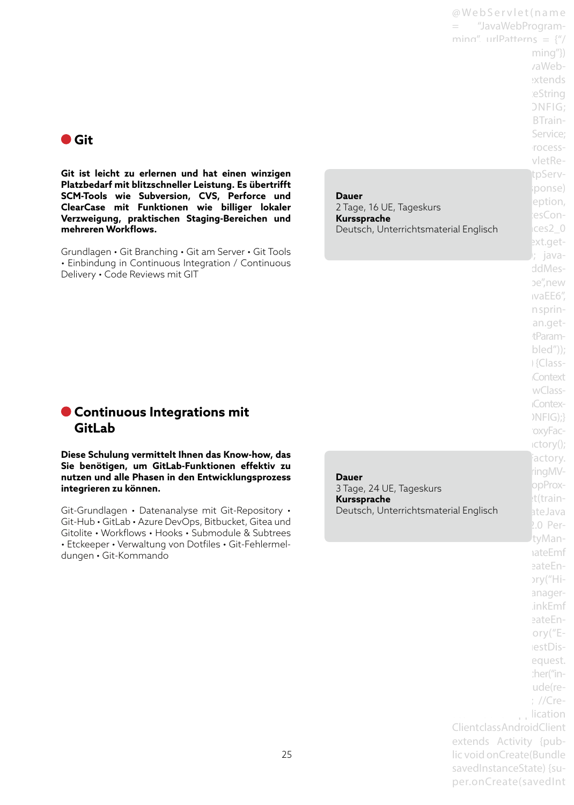@ We b S e r v l e t ( n a m e = "JavaWebProgramming", urlPatterns =  $\frac{y''}{x}$  $minq''$ } vaWebextends ieString ONFIG: BTrain-Service: rocessvletRetpServlponse) eption, iesConext.get-CurrentInstance(); javaddMesbe".new ivaEE6". n sprinan.gettParambled")); i {Class-**Context** wClass-**Contex-** $NFG$ ;} 'oxyFac $ictory()$ ; Factory. ringMVopProxt(train- $2.0$  PertyManaateEmf eateEn- $\text{ary}$ ("Hianager-.inkEmf eateEnory $("E$ lestDisequest. :her("inude(re- $;$  //Cre-

## **Git**

**Git ist leicht zu erlernen und hat einen winzigen Platzbedarf mit blitzschneller Leistung. Es übertrifft SCM-Tools wie Subversion, CVS, Perforce und ClearCase mit Funktionen wie billiger lokaler Verzweigung, praktischen Staging-Bereichen und mehreren Workflows.** 

Grundlagen • Git Branching • Git am Server • Git Tools • Einbindung in Continuous Integration / Continuous Delivery • Code Reviews mit GIT

Deutsch, Unterrichtsmaterial Englisch **CES2\_0 Dauer**  2 Tage, 16 UE, Tageskurs **Kurssprache** 

## **Continuous Integrations mit GitLab**

**Diese Schulung vermittelt Ihnen das Know-how, das Sie benötigen, um GitLab-Funktionen effektiv zu nutzen und alle Phasen in den Entwicklungsprozess integrieren zu können.**

Git-Grundlagen • Datenanalyse mit Git-Repository • Git-Hub • GitLab • Azure DevOps, Bitbucket, Gitea und Gitolite • Workflows • Hooks • Submodule & Subtrees • Etckeeper • Verwaltung von Dotfiles • Git-Fehlermeldungen • Git-Kommando

Deutsch, Unterrichtsmaterial Englisch batelava **Dauer**  3 Tage, 24 UE, Tageskurs **Kurssprache** 

> lication Client class AndroidClient extends Activity {public void onCreate(Bundle savedInstanceState) {super.onCreate(savedInt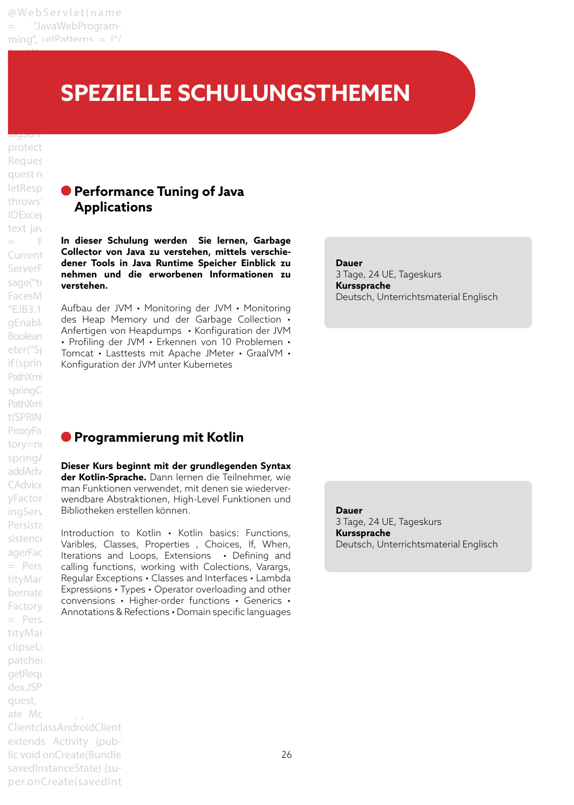JavaWebProgramming"})

## Programming extends **EXPEZIELLE SCHULUNGSTHEMEN**

ingservice trainingservice trainings protect Reques quest re throws: **IOExcer** text jay FacesM Boolean PathXml springC PathXml t(SPRING\_3\_1\_CONFIG);} ProxyFa tory=ne spring/ addAdv Persista Factory  $=$  Pers tityMar clipseL patcher getReque dex.JSP quest, ate Mobile Application Client class Android Client extends Activity {public void onCreate(Bundle savedInstanceState) {su-

per.onCreate(savedInt

## letResp**onse Performance Tuning of Java Applications**

 $=$  **Faces** In dieser Schulung werden  $\operatorname{\mathsf{Sie}}$  lernen, Garbage Current **Collector von Java zu verstehen, mittels verschie-**ServerFaces2\_0.addMes-**nehmen und die erworbenen Informationen zu**  sage("training-type") **dener Tools in Java Runtime Speicher Einblick zu** 

"EJB3.1 Aufbau der JVM • Monitoring der JVM • Monitoring gEnabled des Heap Memory und der Garbage Collection • eter("Spring Tomcat • Lasttests mit Apache JMeter • GraalVM • if (sprin Konfiguration der JVM unter Kubernetes Anfertigen von Heapdumps • Konfiguration der JVM • Profiling der JVM • Erkennen von 10 Problemen •

#### **Dauer**

3 Tage, 24 UE, Tageskurs **Kurssprache**  Deutsch, Unterrichtsmaterial Englisch

## **Programmierung mit Kotlin**

CAdvice Forman Funktionen verwendet, mit denen sie wiederveryFactor wendbare Abstraktionen, High-Level Funktionen und ingServ Bibliotheken erstellen können. **Dieser Kurs beginnt mit der grundlegenden Syntax der Kotlin-Sprache.** Dann lernen die Teilnehmer, wie

sistence Introduction to Rothin Mathem Dasics. Punctions,<br>
Later Classes, Properties , Choices, If, When, agerFactory tensions and Loops, Extensions • Defining and = Pers calling functions, working with Colections, Varargs,  $\tt{tityMar}$  Regular Exceptions  $\boldsymbol{\cdot}$  Classes and Interfaces  $\boldsymbol{\cdot}$  Lambda  $\beta$ <sub>bernate</sub> Expressions • Types • Operator overloading and other Introduction to Kotlin • Kotlin basics: Functions, convensions • Higher-order functions • Generics • Annotations & Refections • Domain specific languages

**Dauer**  3 Tage, 24 UE, Tageskurs **Kurssprache**  Deutsch, Unterrichtsmaterial Englisch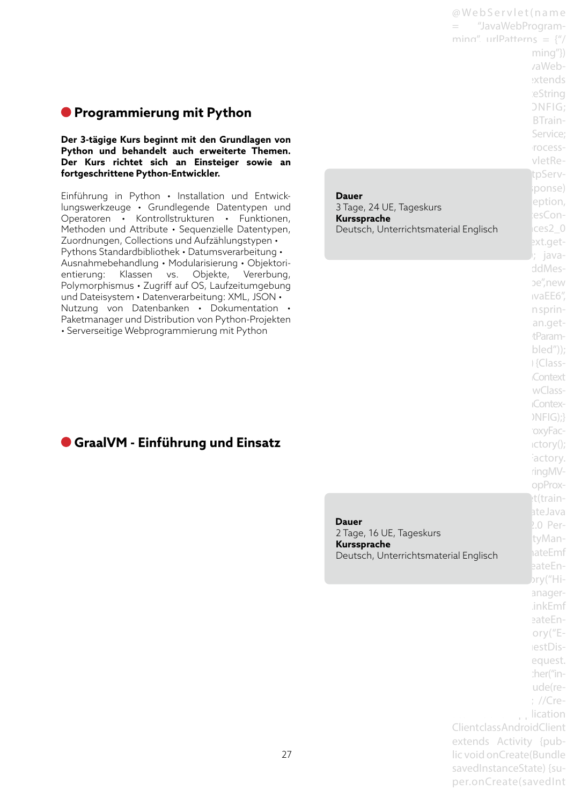## **Programmierung mit Python**

**Der 3-tägige Kurs beginnt mit den Grundlagen von Python und behandelt auch erweiterte Themen. Der Kurs richtet sich an Einsteiger sowie an fortgeschrittene Python-Entwickler.**

Einführung in Python • Installation und Entwicklungswerkzeuge • Grundlegende Datentypen und Operatoren • Kontrollstrukturen • Funktionen, Methoden und Attribute • Sequenzielle Datentypen, Zuordnungen, Collections und Aufzählungstypen • Pythons Standardbibliothek • Datumsverarbeitung • Ausnahmebehandlung • Modularisierung • Objektorientierung: Klassen vs. Objekte, Vererbung, Polymorphismus • Zugriff auf OS, Laufzeitumgebung und Dateisystem • Datenverarbeitung: XML, JSON • Nutzung von Datenbanken • Dokumentation • Paketmanager und Distribution von Python-Projekten • Serverseitige Webprogrammierung mit Python

Deutsch, Unterrichtsmaterial Englisch **CES2\_0 Dauer**  3 Tage, 24 UE, Tageskurs **Kurssprache** 

@ We b S e r v l e t ( n a m e = "JavaWebProgramming", urlPatterns =  $\frac{1}{2}$ 

> $minq''$ } vaWebextends ieString ONFIG: BTrain-Service: rocessvletRetpServiponse) eption, iesCon-

> ext.get-CurrentInstance(); javaddMesbe".new

## **GraalVM - Einführung und Einsatz**

narbeprache<br>Deutsch, Unterrichtsmaterial Englisch MateEmf  **Dauer**  2 Tage, 16 UE, Tageskurs **Kurssprache** 

ivaEE6". n sprinan.gettParam $bled")$ ; i {Class-**Context** wClass-**Contex-** $NFG$ ;} 'oxyFac $ictory()$ ; actory. ringMVopProxet(trainateJava  $2.0$  PertyManeateEn $bry("Hi$ anager-.inkEmf eateEnory $("E$ lestDisequest. :her("inude(re- $:$  //Crelication Client class AndroidClient extends Activity {public void onCreate(Bundle savedInstanceState) {super.onCreate(savedInt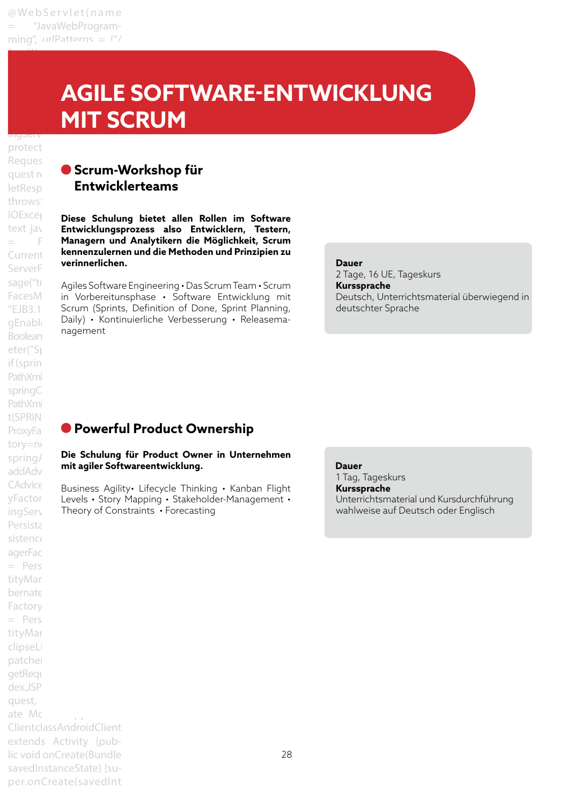JavaWebProgramming"})

## Programming extends **AGILE SOFTWARE-ENTWICKLUNG** SPRING\_3\_0\_CONFIG; **TAXWAY CONTROLLER MIT SCRUM**

## ingservice trainingservice trainings protect Reques throws: ServerF Boolean eter("Sp if (sprin PathXml springC PathXml t(SPRING\_3\_1\_CONFIG);} tory=ne addAdv Persista sistence agerFac  $=$  Pers tityMar bernate Factory  $=$  Pers tityMar clipseL patcher getReque dex.JSP quest, ate Mobile Application Client class Android Client extends Activity {public void onCreate(Bundle savedInstanceState) {su-

per.onCreate(savedInt

## **Guest request report Scrum-Workshop für** letResp**onse Entwicklerteams**

**IOEXCEI** Diese Schulung bietet allen Rollen im Software text jav **Entwicklungsprozess also Entwicklern, Testern,**  $=$  **F** Managern und Analytikern die Möglichkeit, Scrum CurrentInstance(); java-**kennenzulernen und die Methoden und Prinzipien zu verinnerlichen.**

sage("trajling-Software Engineering • Das Scrum Team • Scrum FacesM in Vorbereitunsphase · Software Entwicklung mit "EJB3.1 Scrum (Sprints, Definition of Done, Sprint Planning,  $g_{\mathsf{Enabl}}$  Daily) • Kontinuierliche Verbesserung • Releasemanagement

#### **Dauer**

2 Tage, 16 UE, Tageskurs **Kurssprache**  Deutsch, Unterrichtsmaterial überwiegend in deutschter Sprache

## ProxyFa**ce-Powerful Product Ownership**

#### spring/ **Die Schulung für Product Owner in Unternehmen mit agiler Softwareentwicklung.**

CAdvice Business Agility• Lifecycle Thinking • Kanban Flight yFactor Levels • Story Mapping • Stakeholder-Management • ingServ Theory of Constraints • Forecasting

 **Dauer**  1 Tag, Tageskurs **Kurssprache**  Unterrichtsmaterial und Kursdurchführung wahlweise auf Deutsch oder Englisch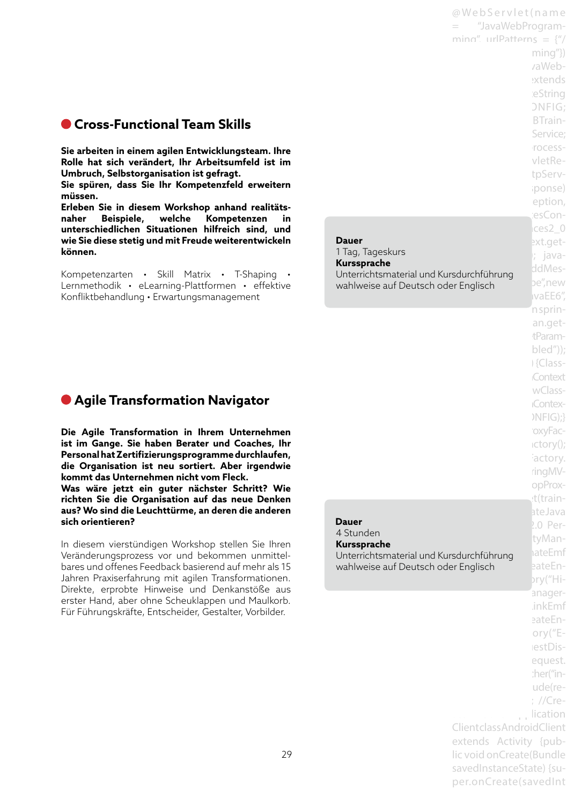## **Cross-Functional Team Skills**

**Sie arbeiten in einem agilen Entwicklungsteam. Ihre Rolle hat sich verändert, Ihr Arbeitsumfeld ist im Umbruch, Selbstorganisation ist gefragt.**

**Sie spüren, dass Sie Ihr Kompetenzfeld erweitern müssen.**

**Erleben Sie in diesem Workshop anhand realitätsnaher Beispiele, welche Kompetenzen in unterschiedlichen Situationen hilfreich sind, und wie Sie diese stetig und mit Freude weiterentwickeln können.**

Kompetenzarten • Skill Matrix • T-Shaping Lernmethodik • eLearning-Plattformen • effektive Konfliktbehandlung • Erwartungsmanagement

**Dauer**  1 Tag, Tageskurs **Kurssprache** 

**Nurssprache**<br>Unterrichtsmaterial und Kursdurchführung die dem Karl satementen and ner sale in the new anglo-

## **Agile Transformation Navigator**

**Die Agile Transformation in Ihrem Unternehmen ist im Gange. Sie haben Berater und Coaches, Ihr Personal hat Zertifizierungsprogramme durchlaufen, die Organisation ist neu sortiert. Aber irgendwie kommt das Unternehmen nicht vom Fleck.** 

**Was wäre jetzt ein guter nächster Schritt? Wie richten Sie die Organisation auf das neue Denken aus? Wo sind die Leuchttürme, an deren die anderen sich orientieren?**

In diesem vierstündigen Workshop stellen Sie Ihren Veränderungsprozess vor und bekommen unmittelbares und offenes Feedback basierend auf mehr als 15 Jahren Praxiserfahrung mit agilen Transformationen. Direkte, erprobte Hinweise und Denkanstöße aus erster Hand, aber ohne Scheuklappen und Maulkorb. Für Führungskräfte, Entscheider, Gestalter, Vorbilder.

extends ieString ONFIG: BTrain-Service: rocessvletRetpServiponse) eption, esCon $res2<sub>0</sub>$ ext.get-; javaivaEE6". n sprinan.gettParambled")); i {Class-**Context** wClass-**Contex-** $NFIG);$ oxyFac $ictory()$ ; actory. ringMVopProxt(trainateJava  $2.0$  PertyMan-**Unterrichtsmaterial und Kursdurchführung nateEmf** wahlweise auf Deutsch oder Englisch eateEnbry("Hianager-.inkEmf eateEnory $("E$ lestDisequest. :her("inude(re- $:$  //Crelication Client class AndroidClient extends Activity {public void onCreate(Bundle savedInstanceState) {super.onCreate(savedInt

@ Web Servlet (name = "JavaWebProgramming", urlPatterns =  $\frac{y''}{x}$ 

> $minq''$ } vaWeb-

 **Dauer**  4 Stunden **Kurssprache**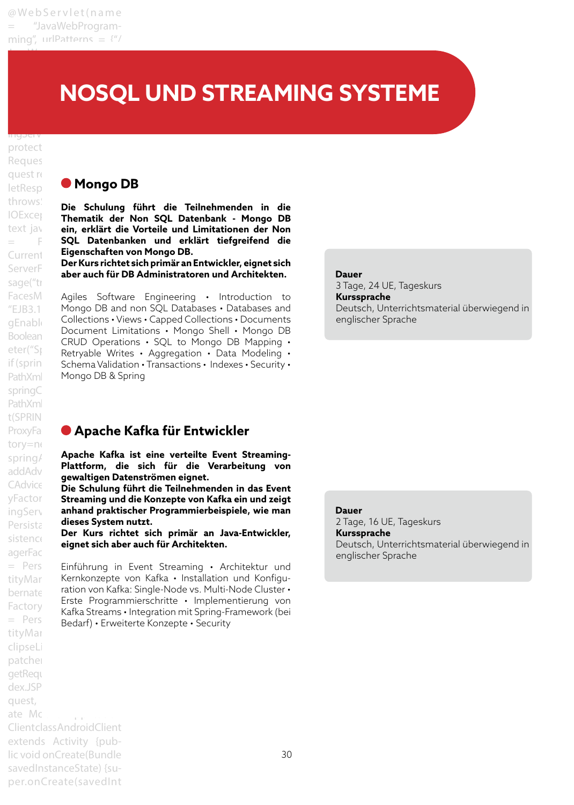JavaWebProgramming"})

#### Programming extends **Here** Stringservice NOSQL UND STREAMING SYSTEME

ingservice trainingservice trainings protect Reques quest re sage("tr springC PathXml t(SPRING\_3\_1\_CONFIG);} tory=ne addAdv agerFac Factory tityMar clipseLi patcher getReque dex.JSP quest, ate Mobile Application

## letResp**onse Mongo DB**

throws:<br><sub>Le E</sub> **Die Schulung führt die Teilnehmenden in die** IOException **Thematik der Non SQL Datenbank - Mongo DB** text jav **ein, erklärt die Vorteile und Limitationen der Non**  $=$  **F** SQL Datenbanken und erklärt tiefgreifend die Current **Eigenschaften von Mongo DB.** 

ServerFaces **Der Kurs Hontet sich primar an Entwickler, eignet sich ServerFaces**<br>**aber auch für DB Administratoren und Architekten. Der Kurs richtet sich primär an Entwickler, eignet sich** 

FacesM Agiles Software Engineering • Introduction to " $EJB3.1$  Mongo DB and non SQL Databases  $\cdot$  Databases and gEnabled = Collections • Views • Capped Collections • Documents  $Boolean$  Boolean CRUD Operations • SQL to Mongo DB Mapping •  $\text{Ker}(\text{S})$  Retryable Writes • Aggregation • Data Modeling • if (sprin Schema Validation • Transactions • Indexes • Security • PathXml Mongo DB & Spring Document Limitations • Mongo Shell • Mongo DB

## **Dauer**

3 Tage, 24 UE, Tageskurs **Kurssprache**  Deutsch, Unterrichtsmaterial überwiegend in englischer Sprache

## ProxyFa**che Kafka für Entwickler**

spring/ **Apache Kafka ist eine verteilte Event Streaming-**<br>Apache Kafka ist eine verteilte Verstalten in der Streaming-**Plattform, die sich für die Verarbeitung von gewaltigen Datenströmen eignet.**

CAdvice **Die Schulung führt die Teilnehmenden in das Event** yFactor Streaming und die Konzepte von Kafka ein und zeigt ingService); //Create Java **anhand praktischer Programmierbeispiele, wie man**  Persista dieses System nutzt.

sistence United Sich **printer and January Der Kurs Inchret sich printer and January Der Kurs richtet sich primär an Java-Entwickler,** 

 $=$  Pers Einführung in Event Streaming • Architektur und tityMar – Kernkonzepte von Kafka • Installation und Konfigubernate ration von Kafka: Single-Node vs. Multi-Node Cluster • = Pers Rand Ground mitogration me opinight Erste Programmierschritte • Implementierung von Kafka Streams • Integration mit Spring-Framework (bei

 **Dauer**  2 Tage, 16 UE, Tageskurs **Kurssprache**  Deutsch, Unterrichtsmaterial überwiegend in englischer Sprache

Client class AndroidClient extends Activity {public void onCreate(Bundle savedInstanceState) {super.onCreate(savedInt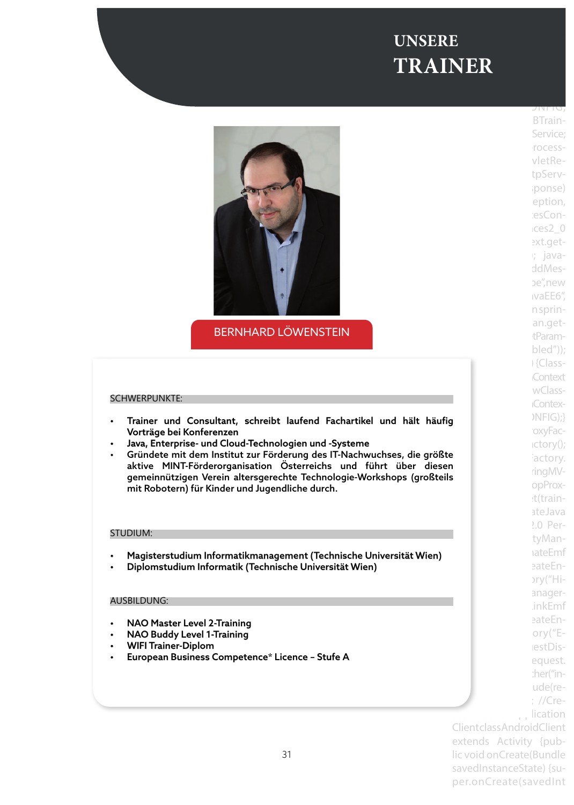#### $\mathbf{E}$  , urleaf the  $\mathbf{E}$ JavaWebProgramming"})  $$ Programming extends **UNSERE**

@ We b S e r v l e t ( n a m e

HttpServlet {private String

![](_page_30_Picture_1.jpeg)

BERNHARD LÖWENSTEIN

#### SCHWERPUNKTE:

- Trainer und Consultant, schreibt laufend Fachartikel und hält häufig Vorträge bei Konferenzen
- Java, Enterprise- und Cloud-Technologien und -Systeme
- Gründete mit dem Institut zur Förderung des IT-Nachwuchses, die größte aktive MINT-Förderorganisation Österreichs und führt über diesen gemeinnützigen Verein altersgerechte Technologie-Workshops (großteils mit Robotern) für Kinder und Jugendliche durch.

#### STUDIUM:

- Magisterstudium Informatikmanagement (Technische Universität Wien)
- Diplomstudium Informatik (Technische Universität Wien)

#### AUSBILDUNG:

- NAO Master Level 2-Training
- NAO Buddy Level 1-Training
- WIFI Trainer-Diplom
- European Business Competence\* Licence Stufe A

 $\overline{\phantom{a}}$  springly  $\overline{\phantom{a}}$  springly BTrain-Service: rocessvletRetpServiponse) eption, iesCon $t$ ces2 $0$ ext.get $i$ ; javaddMesbe".new ivaEE6". n sprinan.gettParam $bled")$ ; i {Class-**Context** wClass-**Contex-** $NFG$ ;} 'oxyFac $ictory()$ ; iactory. ringMVopProxt(trainateJava  $2.0$  PertyManaateEmf eateEn- $\text{try}$ /"Hianager-.inkEmf eateEnory $("E$ lestDisequest. :her("inude(re- $:$  //Crelication Client class Android Client extends Activity {public void onCreate(Bundle

savedInstanceState) {super.onCreate(savedInt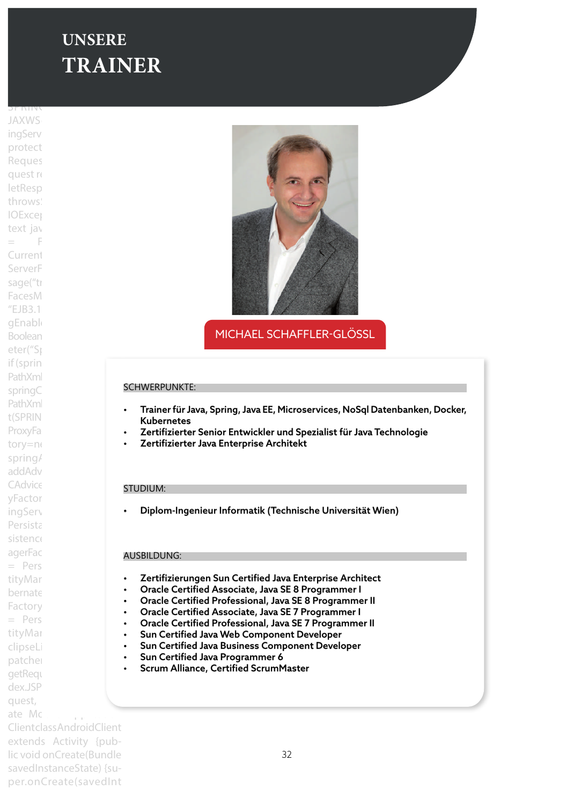## $\blacksquare$  UNSERE JavaWebProgramming"}) **public class TRAINER**

 $\mathcal{L} = \{ \mathcal{L} \mid \mathcal{L} \in \mathcal{L} \}$  . We be the trace of the trace  $\mathcal{L} = \{ \mathcal{L} \mid \mathcal{L} \in \mathcal{L} \}$ 

 $\overline{\phantom{a}}$ spring $\overline{\phantom{a}}$ **JAXWS** ingServ protect Reques quest re letResp throws **IOExcer** text jay  $=$  Faces Context.get-Current ServerF sage("tr FacesM  $EIB3.1$ gEnable Boolean eter("Sp if (sprin PathXml springC PathXml t(SPRING\_3\_1\_CONFIG);} ProxyFa tory=ne spring/ addAdv CAdvice yFactor ingServ Persista sistence agerFac  $=$  Pers tityMar bernate Factory  $=$  Pers tityMar clipseLi patcher getReque dex.JSP quest, ate Mc

Client class AndroidClient extends Activity {public void onCreate(Bundle savedInstanceState) {super.onCreate(savedInt

![](_page_31_Picture_3.jpeg)

MICHAEL SCHAFFLER-GLÖSSL

#### SCHWERPUNKTE:

- Trainer für Java, Spring, Java EE, Microservices, NoSql Datenbanken, Docker, Kubernetes
- Zertifizierter Senior Entwickler und Spezialist für Java Technologie
- Zertifizierter Java Enterprise Architekt

#### STUDIUM:

• Diplom-Ingenieur Informatik (Technische Universität Wien)

#### AUSBILDUNG:

- Zertifizierungen Sun Certified Java Enterprise Architect
- Oracle Certified Associate, Java SE 8 Programmer I
- Oracle Certified Professional, Java SE 8 Programmer II
- Oracle Certified Associate, Java SE 7 Programmer I
- Oracle Certified Professional, Java SE 7 Programmer II
- Sun Certified Java Web Component Developer
- Sun Certified Java Business Component Developer
- Sun Certified Java Programmer 6
- Scrum Alliance, Certified ScrumMaster